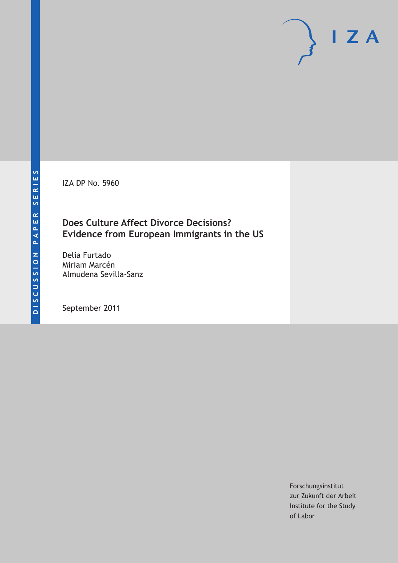IZA DP No. 5960

### **Does Culture Affect Divorce Decisions? Evidence from European Immigrants in the US**

Delia Furtado Miriam Marcén Almudena Sevilla-Sanz

September 2011

Forschungsinstitut zur Zukunft der Arbeit Institute for the Study of Labor

 $I Z A$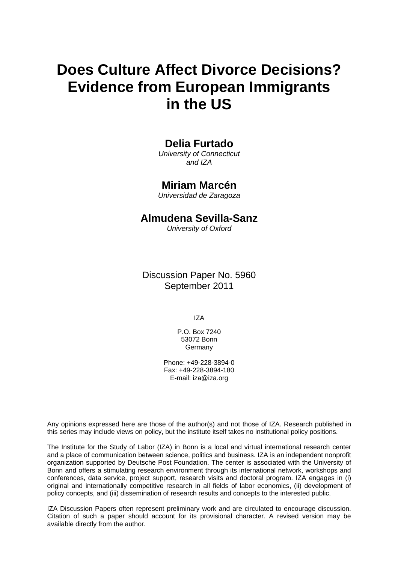# **Does Culture Affect Divorce Decisions? Evidence from European Immigrants in the US**

### **Delia Furtado**

*University of Connecticut and IZA* 

### **Miriam Marcén**

*Universidad de Zaragoza* 

### **Almudena Sevilla-Sanz**

*University of Oxford* 

Discussion Paper No. 5960 September 2011

IZA

P.O. Box 7240 53072 Bonn **Germany** 

Phone: +49-228-3894-0 Fax: +49-228-3894-180 E-mail: [iza@iza.org](mailto:iza@iza.org)

Any opinions expressed here are those of the author(s) and not those of IZA. Research published in this series may include views on policy, but the institute itself takes no institutional policy positions.

The Institute for the Study of Labor (IZA) in Bonn is a local and virtual international research center and a place of communication between science, politics and business. IZA is an independent nonprofit organization supported by Deutsche Post Foundation. The center is associated with the University of Bonn and offers a stimulating research environment through its international network, workshops and conferences, data service, project support, research visits and doctoral program. IZA engages in (i) original and internationally competitive research in all fields of labor economics, (ii) development of policy concepts, and (iii) dissemination of research results and concepts to the interested public.

IZA Discussion Papers often represent preliminary work and are circulated to encourage discussion. Citation of such a paper should account for its provisional character. A revised version may be available directly from the author.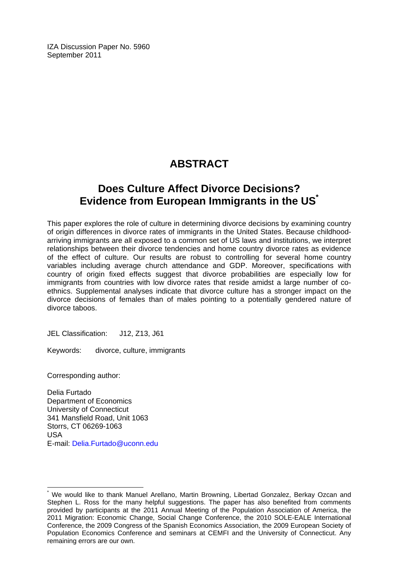IZA Discussion Paper No. 5960 September 2011

## **ABSTRACT**

### **Does Culture Affect Divorce Decisions? Evidence from European Immigrants in the US[\\*](#page-2-0)**

This paper explores the role of culture in determining divorce decisions by examining country of origin differences in divorce rates of immigrants in the United States. Because childhoodarriving immigrants are all exposed to a common set of US laws and institutions, we interpret relationships between their divorce tendencies and home country divorce rates as evidence of the effect of culture. Our results are robust to controlling for several home country variables including average church attendance and GDP. Moreover, specifications with country of origin fixed effects suggest that divorce probabilities are especially low for immigrants from countries with low divorce rates that reside amidst a large number of coethnics. Supplemental analyses indicate that divorce culture has a stronger impact on the divorce decisions of females than of males pointing to a potentially gendered nature of divorce taboos.

JEL Classification: J12, Z13, J61

Keywords: divorce, culture, immigrants

Corresponding author:

 $\overline{a}$ 

Delia Furtado Department of Economics University of Connecticut 341 Mansfield Road, Unit 1063 Storrs, CT 06269-1063 USA E-mail: [Delia.Furtado@uconn.edu](mailto:Delia.Furtado@uconn.edu)

<span id="page-2-0"></span><sup>\*</sup> We would like to thank Manuel Arellano, Martin Browning, Libertad Gonzalez, Berkay Ozcan and Stephen L. Ross for the many helpful suggestions. The paper has also benefited from comments provided by participants at the 2011 Annual Meeting of the Population Association of America, the 2011 Migration: Economic Change, Social Change Conference, the 2010 SOLE-EALE International Conference, the 2009 Congress of the Spanish Economics Association, the 2009 European Society of Population Economics Conference and seminars at CEMFI and the University of Connecticut. Any remaining errors are our own.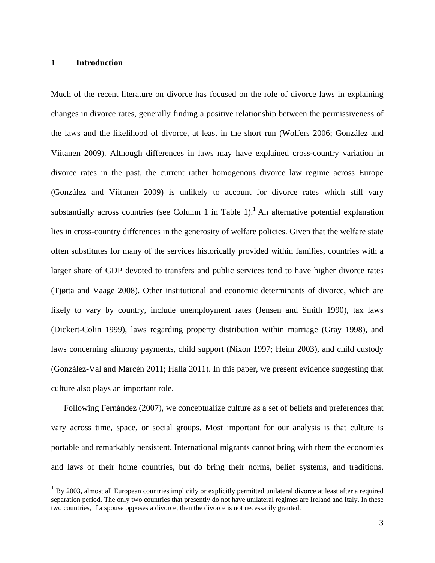#### **1 Introduction**

 $\overline{a}$ 

Much of the recent literature on divorce has focused on the role of divorce laws in explaining changes in divorce rates, generally finding a positive relationship between the permissiveness of the laws and the likelihood of divorce, at least in the short run (Wolfers 2006; González and Viitanen 2009). Although differences in laws may have explained cross-country variation in divorce rates in the past, the current rather homogenous divorce law regime across Europe (González and Viitanen 2009) is unlikely to account for divorce rates which still vary substantially across countries (see Column 1 in Table 1).<sup>1</sup> An alternative potential explanation lies in cross-country differences in the generosity of welfare policies. Given that the welfare state often substitutes for many of the services historically provided within families, countries with a larger share of GDP devoted to transfers and public services tend to have higher divorce rates (Tjøtta and Vaage 2008). Other institutional and economic determinants of divorce, which are likely to vary by country, include unemployment rates (Jensen and Smith 1990), tax laws (Dickert-Colin 1999), laws regarding property distribution within marriage (Gray 1998), and laws concerning alimony payments, child support (Nixon 1997; Heim 2003), and child custody (González-Val and Marcén 2011; Halla 2011). In this paper, we present evidence suggesting that culture also plays an important role.

Following Fernández (2007), we conceptualize culture as a set of beliefs and preferences that vary across time, space, or social groups. Most important for our analysis is that culture is portable and remarkably persistent. International migrants cannot bring with them the economies and laws of their home countries, but do bring their norms, belief systems, and traditions.

<sup>1</sup> By 2003, almost all European countries implicitly or explicitly permitted unilateral divorce at least after a required separation period. The only two countries that presently do not have unilateral regimes are Ireland and Italy. In these two countries, if a spouse opposes a divorce, then the divorce is not necessarily granted.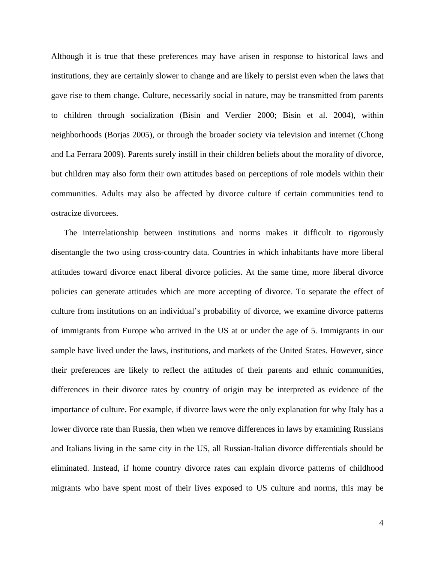Although it is true that these preferences may have arisen in response to historical laws and institutions, they are certainly slower to change and are likely to persist even when the laws that gave rise to them change. Culture, necessarily social in nature, may be transmitted from parents to children through socialization (Bisin and Verdier 2000; Bisin et al. 2004), within neighborhoods (Borjas 2005), or through the broader society via television and internet (Chong and La Ferrara 2009). Parents surely instill in their children beliefs about the morality of divorce, but children may also form their own attitudes based on perceptions of role models within their communities. Adults may also be affected by divorce culture if certain communities tend to ostracize divorcees.

The interrelationship between institutions and norms makes it difficult to rigorously disentangle the two using cross-country data. Countries in which inhabitants have more liberal attitudes toward divorce enact liberal divorce policies. At the same time, more liberal divorce policies can generate attitudes which are more accepting of divorce. To separate the effect of culture from institutions on an individual's probability of divorce, we examine divorce patterns of immigrants from Europe who arrived in the US at or under the age of 5. Immigrants in our sample have lived under the laws, institutions, and markets of the United States. However, since their preferences are likely to reflect the attitudes of their parents and ethnic communities, differences in their divorce rates by country of origin may be interpreted as evidence of the importance of culture. For example, if divorce laws were the only explanation for why Italy has a lower divorce rate than Russia, then when we remove differences in laws by examining Russians and Italians living in the same city in the US, all Russian-Italian divorce differentials should be eliminated. Instead, if home country divorce rates can explain divorce patterns of childhood migrants who have spent most of their lives exposed to US culture and norms, this may be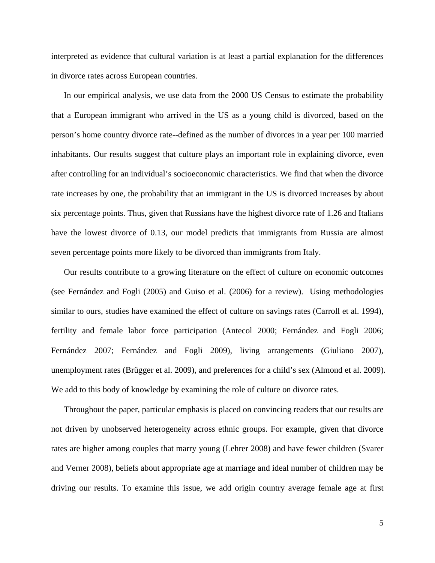interpreted as evidence that cultural variation is at least a partial explanation for the differences in divorce rates across European countries.

In our empirical analysis, we use data from the 2000 US Census to estimate the probability that a European immigrant who arrived in the US as a young child is divorced, based on the person's home country divorce rate--defined as the number of divorces in a year per 100 married inhabitants. Our results suggest that culture plays an important role in explaining divorce, even after controlling for an individual's socioeconomic characteristics. We find that when the divorce rate increases by one, the probability that an immigrant in the US is divorced increases by about six percentage points. Thus, given that Russians have the highest divorce rate of 1.26 and Italians have the lowest divorce of 0.13, our model predicts that immigrants from Russia are almost seven percentage points more likely to be divorced than immigrants from Italy.

Our results contribute to a growing literature on the effect of culture on economic outcomes (see Fernández and Fogli (2005) and Guiso et al. (2006) for a review). Using methodologies similar to ours, studies have examined the effect of culture on savings rates (Carroll et al. 1994), fertility and female labor force participation (Antecol 2000; Fernández and Fogli 2006; Fernández 2007; Fernández and Fogli 2009), living arrangements (Giuliano 2007), unemployment rates (Brügger et al. 2009), and preferences for a child's sex (Almond et al. 2009). We add to this body of knowledge by examining the role of culture on divorce rates.

Throughout the paper, particular emphasis is placed on convincing readers that our results are not driven by unobserved heterogeneity across ethnic groups. For example, given that divorce rates are higher among couples that marry young (Lehrer 2008) and have fewer children (Svarer and Verner 2008), beliefs about appropriate age at marriage and ideal number of children may be driving our results. To examine this issue, we add origin country average female age at first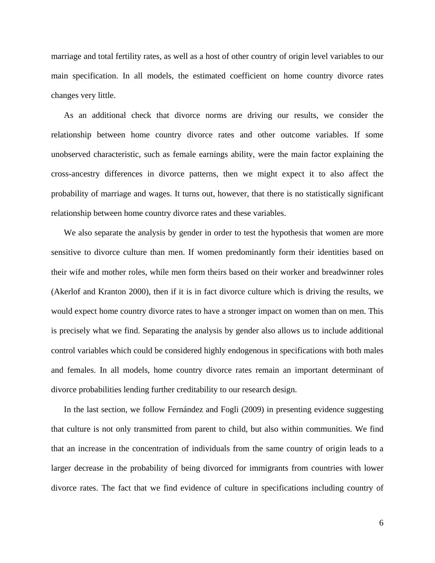marriage and total fertility rates, as well as a host of other country of origin level variables to our main specification. In all models, the estimated coefficient on home country divorce rates changes very little.

As an additional check that divorce norms are driving our results, we consider the relationship between home country divorce rates and other outcome variables. If some unobserved characteristic, such as female earnings ability, were the main factor explaining the cross-ancestry differences in divorce patterns, then we might expect it to also affect the probability of marriage and wages. It turns out, however, that there is no statistically significant relationship between home country divorce rates and these variables.

We also separate the analysis by gender in order to test the hypothesis that women are more sensitive to divorce culture than men. If women predominantly form their identities based on their wife and mother roles, while men form theirs based on their worker and breadwinner roles (Akerlof and Kranton 2000), then if it is in fact divorce culture which is driving the results, we would expect home country divorce rates to have a stronger impact on women than on men. This is precisely what we find. Separating the analysis by gender also allows us to include additional control variables which could be considered highly endogenous in specifications with both males and females. In all models, home country divorce rates remain an important determinant of divorce probabilities lending further creditability to our research design.

In the last section, we follow Fernández and Fogli (2009) in presenting evidence suggesting that culture is not only transmitted from parent to child, but also within communities. We find that an increase in the concentration of individuals from the same country of origin leads to a larger decrease in the probability of being divorced for immigrants from countries with lower divorce rates. The fact that we find evidence of culture in specifications including country of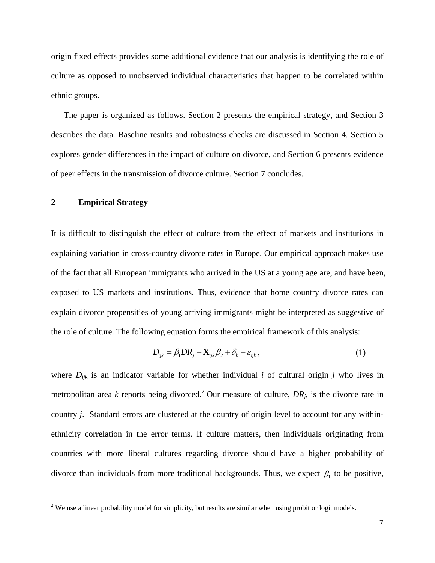origin fixed effects provides some additional evidence that our analysis is identifying the role of culture as opposed to unobserved individual characteristics that happen to be correlated within ethnic groups.

The paper is organized as follows. Section 2 presents the empirical strategy, and Section 3 describes the data. Baseline results and robustness checks are discussed in Section 4. Section 5 explores gender differences in the impact of culture on divorce, and Section 6 presents evidence of peer effects in the transmission of divorce culture. Section 7 concludes.

#### **2 Empirical Strategy**

<u>.</u>

It is difficult to distinguish the effect of culture from the effect of markets and institutions in explaining variation in cross-country divorce rates in Europe. Our empirical approach makes use of the fact that all European immigrants who arrived in the US at a young age are, and have been, exposed to US markets and institutions. Thus, evidence that home country divorce rates can explain divorce propensities of young arriving immigrants might be interpreted as suggestive of the role of culture. The following equation forms the empirical framework of this analysis:

$$
D_{ijk} = \beta_1 D R_j + \mathbf{X}_{ijk} \beta_2 + \delta_k + \varepsilon_{ijk}, \qquad (1)
$$

where *Dijk* is an indicator variable for whether individual *i* of cultural origin *j* who lives in metropolitan area *k* reports being divorced.<sup>2</sup> Our measure of culture,  $DR_j$ , is the divorce rate in country *j*. Standard errors are clustered at the country of origin level to account for any withinethnicity correlation in the error terms. If culture matters, then individuals originating from countries with more liberal cultures regarding divorce should have a higher probability of divorce than individuals from more traditional backgrounds. Thus, we expect  $\beta_1$  to be positive,

<sup>&</sup>lt;sup>2</sup> We use a linear probability model for simplicity, but results are similar when using probit or logit models.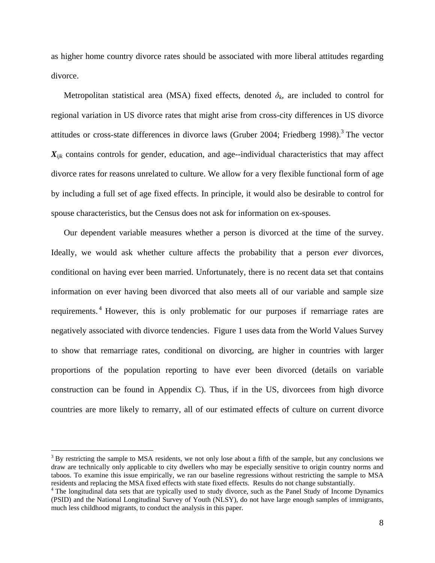as higher home country divorce rates should be associated with more liberal attitudes regarding divorce.

Metropolitan statistical area (MSA) fixed effects, denoted  $\delta_k$ , are included to control for regional variation in US divorce rates that might arise from cross-city differences in US divorce attitudes or cross-state differences in divorce laws (Gruber 2004; Friedberg 1998).<sup>3</sup> The vector *Xijk* contains controls for gender, education, and age--individual characteristics that may affect divorce rates for reasons unrelated to culture. We allow for a very flexible functional form of age by including a full set of age fixed effects. In principle, it would also be desirable to control for spouse characteristics, but the Census does not ask for information on ex-spouses.

Our dependent variable measures whether a person is divorced at the time of the survey. Ideally, we would ask whether culture affects the probability that a person *ever* divorces, conditional on having ever been married. Unfortunately, there is no recent data set that contains information on ever having been divorced that also meets all of our variable and sample size requirements. 4 However, this is only problematic for our purposes if remarriage rates are negatively associated with divorce tendencies. Figure 1 uses data from the World Values Survey to show that remarriage rates, conditional on divorcing, are higher in countries with larger proportions of the population reporting to have ever been divorced (details on variable construction can be found in Appendix C). Thus, if in the US, divorcees from high divorce countries are more likely to remarry, all of our estimated effects of culture on current divorce

 $\overline{a}$ 

 $3$  By restricting the sample to MSA residents, we not only lose about a fifth of the sample, but any conclusions we draw are technically only applicable to city dwellers who may be especially sensitive to origin country norms and taboos. To examine this issue empirically, we ran our baseline regressions without restricting the sample to MSA residents and replacing the MSA fixed effects with state fixed effects. Results do not change substantially.

<sup>&</sup>lt;sup>4</sup> The longitudinal data sets that are typically used to study divorce, such as the Panel Study of Income Dynamics (PSID) and the National Longitudinal Survey of Youth (NLSY), do not have large enough samples of immigrants, much less childhood migrants, to conduct the analysis in this paper.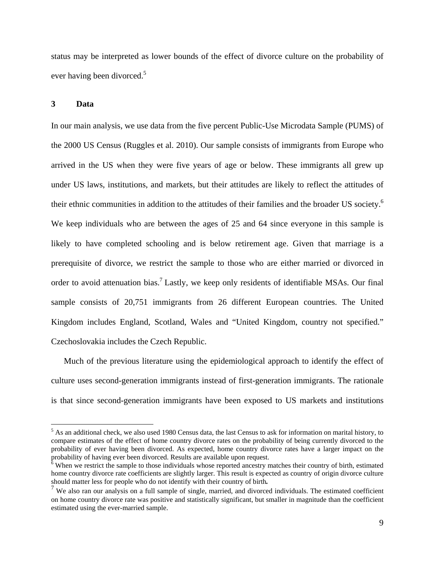status may be interpreted as lower bounds of the effect of divorce culture on the probability of ever having been divorced.<sup>5</sup>

#### **3 Data**

 $\overline{a}$ 

In our main analysis, we use data from the five percent Public-Use Microdata Sample (PUMS) of the 2000 US Census (Ruggles et al. 2010). Our sample consists of immigrants from Europe who arrived in the US when they were five years of age or below. These immigrants all grew up under US laws, institutions, and markets, but their attitudes are likely to reflect the attitudes of their ethnic communities in addition to the attitudes of their families and the broader US society.<sup>6</sup> We keep individuals who are between the ages of 25 and 64 since everyone in this sample is likely to have completed schooling and is below retirement age. Given that marriage is a prerequisite of divorce, we restrict the sample to those who are either married or divorced in order to avoid attenuation bias.<sup>7</sup> Lastly, we keep only residents of identifiable MSAs. Our final sample consists of 20,751 immigrants from 26 different European countries. The United Kingdom includes England, Scotland, Wales and "United Kingdom, country not specified." Czechoslovakia includes the Czech Republic.

Much of the previous literature using the epidemiological approach to identify the effect of culture uses second-generation immigrants instead of first-generation immigrants. The rationale is that since second-generation immigrants have been exposed to US markets and institutions

 $<sup>5</sup>$  As an additional check, we also used 1980 Census data, the last Census to ask for information on marital history, to</sup> compare estimates of the effect of home country divorce rates on the probability of being currently divorced to the probability of ever having been divorced. As expected, home country divorce rates have a larger impact on the probability of having ever been divorced. Results are available upon request.

 $6$  When we restrict the sample to those individuals whose reported ancestry matches their country of birth, estimated home country divorce rate coefficients are slightly larger. This result is expected as country of origin divorce culture should matter less for people who do not identify with their country of birth.

 $\frac{7}{1}$  We also ran our analysis on a full sample of single, married, and divorced individuals. The estimated coefficient on home country divorce rate was positive and statistically significant, but smaller in magnitude than the coefficient estimated using the ever-married sample.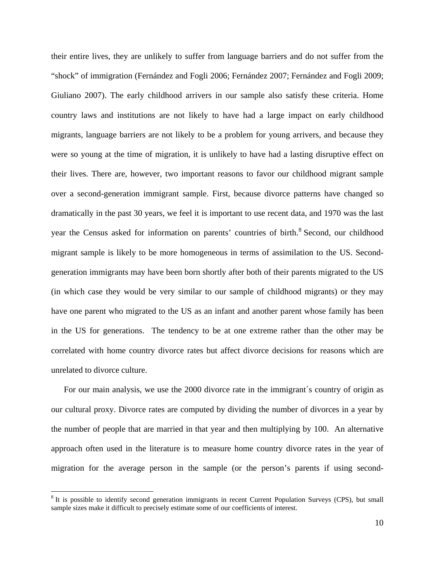their entire lives, they are unlikely to suffer from language barriers and do not suffer from the "shock" of immigration (Fernández and Fogli 2006; Fernández 2007; Fernández and Fogli 2009; Giuliano 2007). The early childhood arrivers in our sample also satisfy these criteria. Home country laws and institutions are not likely to have had a large impact on early childhood migrants, language barriers are not likely to be a problem for young arrivers, and because they were so young at the time of migration, it is unlikely to have had a lasting disruptive effect on their lives. There are, however, two important reasons to favor our childhood migrant sample over a second-generation immigrant sample. First, because divorce patterns have changed so dramatically in the past 30 years, we feel it is important to use recent data, and 1970 was the last year the Census asked for information on parents' countries of birth.<sup>8</sup> Second, our childhood migrant sample is likely to be more homogeneous in terms of assimilation to the US. Secondgeneration immigrants may have been born shortly after both of their parents migrated to the US (in which case they would be very similar to our sample of childhood migrants) or they may have one parent who migrated to the US as an infant and another parent whose family has been in the US for generations. The tendency to be at one extreme rather than the other may be correlated with home country divorce rates but affect divorce decisions for reasons which are unrelated to divorce culture.

For our main analysis, we use the 2000 divorce rate in the immigrant´s country of origin as our cultural proxy. Divorce rates are computed by dividing the number of divorces in a year by the number of people that are married in that year and then multiplying by 100. An alternative approach often used in the literature is to measure home country divorce rates in the year of migration for the average person in the sample (or the person's parents if using second-

1

<sup>&</sup>lt;sup>8</sup> It is possible to identify second generation immigrants in recent Current Population Surveys (CPS), but small sample sizes make it difficult to precisely estimate some of our coefficients of interest.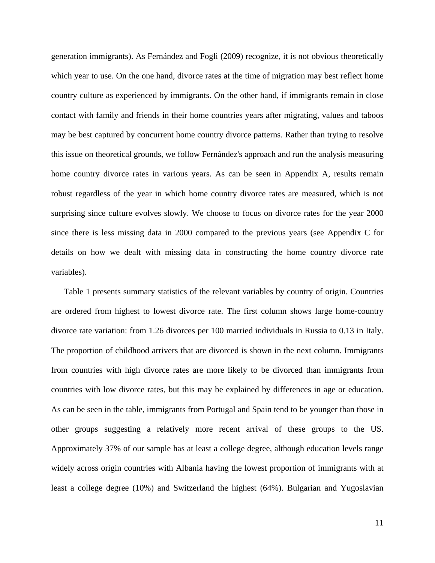generation immigrants). As Fernández and Fogli (2009) recognize, it is not obvious theoretically which year to use. On the one hand, divorce rates at the time of migration may best reflect home country culture as experienced by immigrants. On the other hand, if immigrants remain in close contact with family and friends in their home countries years after migrating, values and taboos may be best captured by concurrent home country divorce patterns. Rather than trying to resolve this issue on theoretical grounds, we follow Fernández's approach and run the analysis measuring home country divorce rates in various years. As can be seen in Appendix A, results remain robust regardless of the year in which home country divorce rates are measured, which is not surprising since culture evolves slowly. We choose to focus on divorce rates for the year 2000 since there is less missing data in 2000 compared to the previous years (see Appendix C for details on how we dealt with missing data in constructing the home country divorce rate variables).

Table 1 presents summary statistics of the relevant variables by country of origin. Countries are ordered from highest to lowest divorce rate. The first column shows large home-country divorce rate variation: from 1.26 divorces per 100 married individuals in Russia to 0.13 in Italy. The proportion of childhood arrivers that are divorced is shown in the next column. Immigrants from countries with high divorce rates are more likely to be divorced than immigrants from countries with low divorce rates, but this may be explained by differences in age or education. As can be seen in the table, immigrants from Portugal and Spain tend to be younger than those in other groups suggesting a relatively more recent arrival of these groups to the US. Approximately 37% of our sample has at least a college degree, although education levels range widely across origin countries with Albania having the lowest proportion of immigrants with at least a college degree (10%) and Switzerland the highest (64%). Bulgarian and Yugoslavian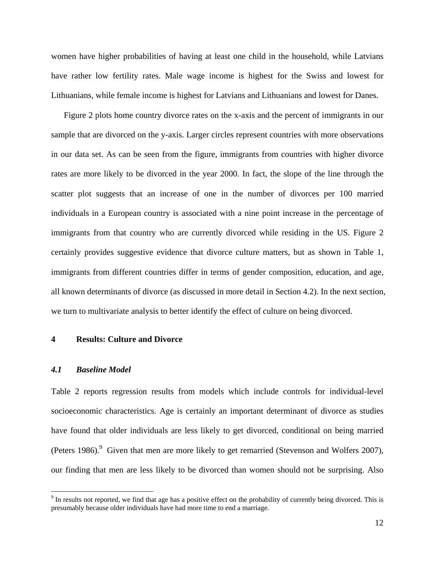women have higher probabilities of having at least one child in the household, while Latvians have rather low fertility rates. Male wage income is highest for the Swiss and lowest for Lithuanians, while female income is highest for Latvians and Lithuanians and lowest for Danes.

Figure 2 plots home country divorce rates on the x-axis and the percent of immigrants in our sample that are divorced on the y-axis. Larger circles represent countries with more observations in our data set. As can be seen from the figure, immigrants from countries with higher divorce rates are more likely to be divorced in the year 2000. In fact, the slope of the line through the scatter plot suggests that an increase of one in the number of divorces per 100 married individuals in a European country is associated with a nine point increase in the percentage of immigrants from that country who are currently divorced while residing in the US. Figure 2 certainly provides suggestive evidence that divorce culture matters, but as shown in Table 1, immigrants from different countries differ in terms of gender composition, education, and age, all known determinants of divorce (as discussed in more detail in Section 4.2). In the next section, we turn to multivariate analysis to better identify the effect of culture on being divorced.

#### **4 Results: Culture and Divorce**

#### *4.1 Baseline Model*

 $\overline{a}$ 

Table 2 reports regression results from models which include controls for individual-level socioeconomic characteristics. Age is certainly an important determinant of divorce as studies have found that older individuals are less likely to get divorced, conditional on being married (Peters 1986). $9$  Given that men are more likely to get remarried (Stevenson and Wolfers 2007), our finding that men are less likely to be divorced than women should not be surprising. Also

 $9<sup>9</sup>$  In results not reported, we find that age has a positive effect on the probability of currently being divorced. This is presumably because older individuals have had more time to end a marriage.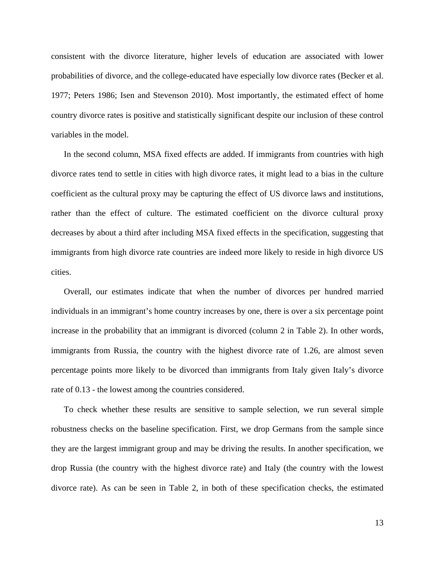consistent with the divorce literature, higher levels of education are associated with lower probabilities of divorce, and the college-educated have especially low divorce rates (Becker et al. 1977; Peters 1986; Isen and Stevenson 2010). Most importantly, the estimated effect of home country divorce rates is positive and statistically significant despite our inclusion of these control variables in the model.

In the second column, MSA fixed effects are added. If immigrants from countries with high divorce rates tend to settle in cities with high divorce rates, it might lead to a bias in the culture coefficient as the cultural proxy may be capturing the effect of US divorce laws and institutions, rather than the effect of culture. The estimated coefficient on the divorce cultural proxy decreases by about a third after including MSA fixed effects in the specification, suggesting that immigrants from high divorce rate countries are indeed more likely to reside in high divorce US cities.

Overall, our estimates indicate that when the number of divorces per hundred married individuals in an immigrant's home country increases by one, there is over a six percentage point increase in the probability that an immigrant is divorced (column 2 in Table 2). In other words, immigrants from Russia, the country with the highest divorce rate of 1.26, are almost seven percentage points more likely to be divorced than immigrants from Italy given Italy's divorce rate of 0.13 - the lowest among the countries considered.

To check whether these results are sensitive to sample selection, we run several simple robustness checks on the baseline specification. First, we drop Germans from the sample since they are the largest immigrant group and may be driving the results. In another specification, we drop Russia (the country with the highest divorce rate) and Italy (the country with the lowest divorce rate). As can be seen in Table 2, in both of these specification checks, the estimated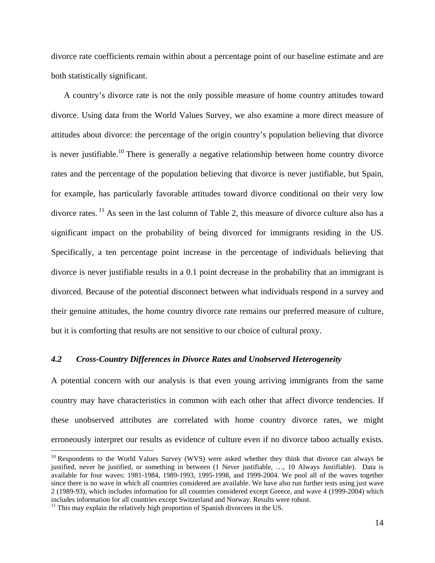divorce rate coefficients remain within about a percentage point of our baseline estimate and are both statistically significant.

A country's divorce rate is not the only possible measure of home country attitudes toward divorce. Using data from the World Values Survey, we also examine a more direct measure of attitudes about divorce: the percentage of the origin country's population believing that divorce is never justifiable.<sup>10</sup> There is generally a negative relationship between home country divorce rates and the percentage of the population believing that divorce is never justifiable, but Spain, for example, has particularly favorable attitudes toward divorce conditional on their very low divorce rates. <sup>11</sup> As seen in the last column of Table 2, this measure of divorce culture also has a significant impact on the probability of being divorced for immigrants residing in the US. Specifically, a ten percentage point increase in the percentage of individuals believing that divorce is never justifiable results in a 0.1 point decrease in the probability that an immigrant is divorced. Because of the potential disconnect between what individuals respond in a survey and their genuine attitudes, the home country divorce rate remains our preferred measure of culture, but it is comforting that results are not sensitive to our choice of cultural proxy.

#### *4.2 Cross-Country Differences in Divorce Rates and Unobserved Heterogeneity*

A potential concern with our analysis is that even young arriving immigrants from the same country may have characteristics in common with each other that affect divorce tendencies. If these unobserved attributes are correlated with home country divorce rates, we might erroneously interpret our results as evidence of culture even if no divorce taboo actually exists.

 $\overline{a}$ 

<sup>&</sup>lt;sup>10</sup> Respondents to the World Values Survey (WVS) were asked whether they think that divorce can always be justified, never be justified, or something in between (1 Never justifiable, …, 10 Always Justifiable). Data is available for four waves: 1981-1984, 1989-1993, 1995-1998, and 1999-2004. We pool all of the waves together since there is no wave in which all countries considered are available. We have also run further tests using just wave 2 (1989-93), which includes information for all countries considered except Greece, and wave 4 (1999-2004) which includes information for all countries except Switzerland and Norway. Results were robust.

 $11$  This may explain the relatively high proportion of Spanish divorcees in the US.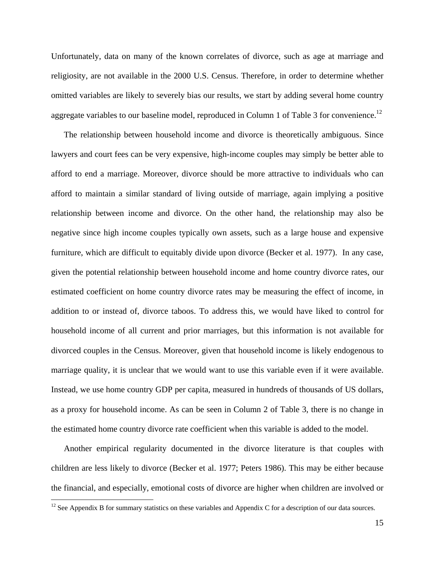Unfortunately, data on many of the known correlates of divorce, such as age at marriage and religiosity, are not available in the 2000 U.S. Census. Therefore, in order to determine whether omitted variables are likely to severely bias our results, we start by adding several home country aggregate variables to our baseline model, reproduced in Column 1 of Table 3 for convenience.<sup>12</sup>

The relationship between household income and divorce is theoretically ambiguous. Since lawyers and court fees can be very expensive, high-income couples may simply be better able to afford to end a marriage. Moreover, divorce should be more attractive to individuals who can afford to maintain a similar standard of living outside of marriage, again implying a positive relationship between income and divorce. On the other hand, the relationship may also be negative since high income couples typically own assets, such as a large house and expensive furniture, which are difficult to equitably divide upon divorce (Becker et al. 1977). In any case, given the potential relationship between household income and home country divorce rates, our estimated coefficient on home country divorce rates may be measuring the effect of income, in addition to or instead of, divorce taboos. To address this, we would have liked to control for household income of all current and prior marriages, but this information is not available for divorced couples in the Census. Moreover, given that household income is likely endogenous to marriage quality, it is unclear that we would want to use this variable even if it were available. Instead, we use home country GDP per capita, measured in hundreds of thousands of US dollars, as a proxy for household income. As can be seen in Column 2 of Table 3, there is no change in the estimated home country divorce rate coefficient when this variable is added to the model.

Another empirical regularity documented in the divorce literature is that couples with children are less likely to divorce (Becker et al. 1977; Peters 1986). This may be either because the financial, and especially, emotional costs of divorce are higher when children are involved or

<u>.</u>

 $12$  See Appendix B for summary statistics on these variables and Appendix C for a description of our data sources.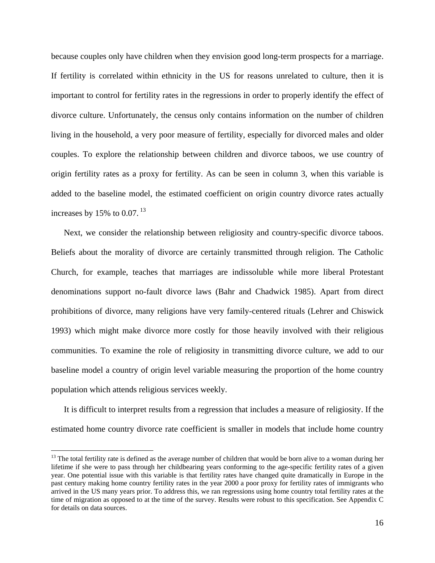because couples only have children when they envision good long-term prospects for a marriage. If fertility is correlated within ethnicity in the US for reasons unrelated to culture, then it is important to control for fertility rates in the regressions in order to properly identify the effect of divorce culture. Unfortunately, the census only contains information on the number of children living in the household, a very poor measure of fertility, especially for divorced males and older couples. To explore the relationship between children and divorce taboos, we use country of origin fertility rates as a proxy for fertility. As can be seen in column 3, when this variable is added to the baseline model, the estimated coefficient on origin country divorce rates actually increases by 15% to 0.07.  $^{13}$ 

Next, we consider the relationship between religiosity and country-specific divorce taboos. Beliefs about the morality of divorce are certainly transmitted through religion. The Catholic Church, for example, teaches that marriages are indissoluble while more liberal Protestant denominations support no-fault divorce laws (Bahr and Chadwick 1985). Apart from direct prohibitions of divorce, many religions have very family-centered rituals (Lehrer and Chiswick 1993) which might make divorce more costly for those heavily involved with their religious communities. To examine the role of religiosity in transmitting divorce culture, we add to our baseline model a country of origin level variable measuring the proportion of the home country population which attends religious services weekly.

It is difficult to interpret results from a regression that includes a measure of religiosity. If the estimated home country divorce rate coefficient is smaller in models that include home country

 $\overline{a}$ 

<sup>&</sup>lt;sup>13</sup> The total fertility rate is defined as the average number of children that would be born alive to a woman during her lifetime if she were to pass through her childbearing years conforming to the age-specific fertility rates of a given year. One potential issue with this variable is that fertility rates have changed quite dramatically in Europe in the past century making home country fertility rates in the year 2000 a poor proxy for fertility rates of immigrants who arrived in the US many years prior. To address this, we ran regressions using home country total fertility rates at the time of migration as opposed to at the time of the survey. Results were robust to this specification. See Appendix C for details on data sources.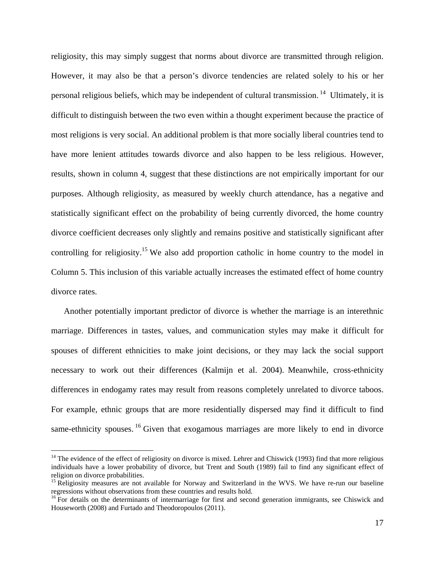religiosity, this may simply suggest that norms about divorce are transmitted through religion. However, it may also be that a person's divorce tendencies are related solely to his or her personal religious beliefs, which may be independent of cultural transmission. <sup>14</sup> Ultimately, it is difficult to distinguish between the two even within a thought experiment because the practice of most religions is very social. An additional problem is that more socially liberal countries tend to have more lenient attitudes towards divorce and also happen to be less religious. However, results, shown in column 4, suggest that these distinctions are not empirically important for our purposes. Although religiosity, as measured by weekly church attendance, has a negative and statistically significant effect on the probability of being currently divorced, the home country divorce coefficient decreases only slightly and remains positive and statistically significant after controlling for religiosity.<sup>15</sup> We also add proportion catholic in home country to the model in Column 5. This inclusion of this variable actually increases the estimated effect of home country divorce rates.

Another potentially important predictor of divorce is whether the marriage is an interethnic marriage. Differences in tastes, values, and communication styles may make it difficult for spouses of different ethnicities to make joint decisions, or they may lack the social support necessary to work out their differences (Kalmijn et al. 2004). Meanwhile, cross-ethnicity differences in endogamy rates may result from reasons completely unrelated to divorce taboos. For example, ethnic groups that are more residentially dispersed may find it difficult to find same-ethnicity spouses.  $16$  Given that exogamous marriages are more likely to end in divorce

 $\overline{a}$ 

 $14$  The evidence of the effect of religiosity on divorce is mixed. Lehrer and Chiswick (1993) find that more religious individuals have a lower probability of divorce, but Trent and South (1989) fail to find any significant effect of religion on divorce probabilities.

<sup>&</sup>lt;sup>15</sup> Religiosity measures are not available for Norway and Switzerland in the WVS. We have re-run our baseline regressions without observations from these countries and results hold.

<sup>&</sup>lt;sup>16</sup> For details on the determinants of intermarriage for first and second generation immigrants, see Chiswick and Houseworth (2008) and Furtado and Theodoropoulos (2011).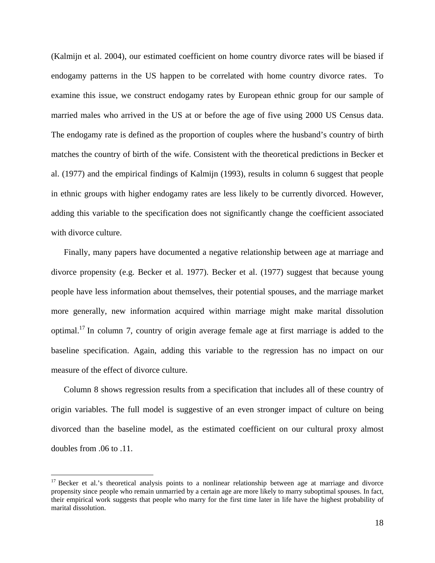(Kalmijn et al. 2004), our estimated coefficient on home country divorce rates will be biased if endogamy patterns in the US happen to be correlated with home country divorce rates. To examine this issue, we construct endogamy rates by European ethnic group for our sample of married males who arrived in the US at or before the age of five using 2000 US Census data. The endogamy rate is defined as the proportion of couples where the husband's country of birth matches the country of birth of the wife. Consistent with the theoretical predictions in Becker et al. (1977) and the empirical findings of Kalmijn (1993), results in column 6 suggest that people in ethnic groups with higher endogamy rates are less likely to be currently divorced. However, adding this variable to the specification does not significantly change the coefficient associated with divorce culture.

Finally, many papers have documented a negative relationship between age at marriage and divorce propensity (e.g. Becker et al. 1977). Becker et al. (1977) suggest that because young people have less information about themselves, their potential spouses, and the marriage market more generally, new information acquired within marriage might make marital dissolution optimal.<sup>17</sup> In column 7, country of origin average female age at first marriage is added to the baseline specification. Again, adding this variable to the regression has no impact on our measure of the effect of divorce culture.

Column 8 shows regression results from a specification that includes all of these country of origin variables. The full model is suggestive of an even stronger impact of culture on being divorced than the baseline model, as the estimated coefficient on our cultural proxy almost doubles from .06 to .11.

<u>.</u>

<sup>&</sup>lt;sup>17</sup> Becker et al.'s theoretical analysis points to a nonlinear relationship between age at marriage and divorce propensity since people who remain unmarried by a certain age are more likely to marry suboptimal spouses. In fact, their empirical work suggests that people who marry for the first time later in life have the highest probability of marital dissolution.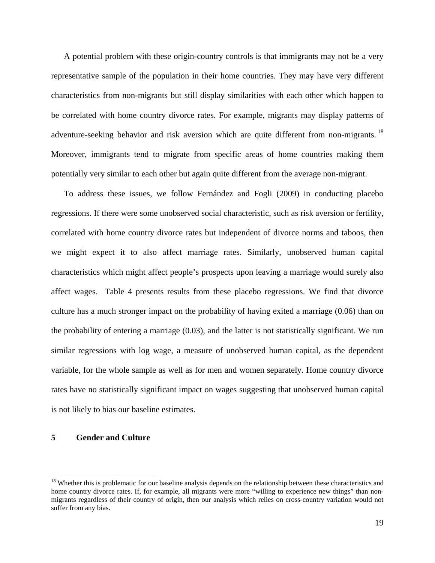A potential problem with these origin-country controls is that immigrants may not be a very representative sample of the population in their home countries. They may have very different characteristics from non-migrants but still display similarities with each other which happen to be correlated with home country divorce rates. For example, migrants may display patterns of adventure-seeking behavior and risk aversion which are quite different from non-migrants.<sup>18</sup> Moreover, immigrants tend to migrate from specific areas of home countries making them potentially very similar to each other but again quite different from the average non-migrant.

To address these issues, we follow Fernández and Fogli (2009) in conducting placebo regressions. If there were some unobserved social characteristic, such as risk aversion or fertility, correlated with home country divorce rates but independent of divorce norms and taboos, then we might expect it to also affect marriage rates. Similarly, unobserved human capital characteristics which might affect people's prospects upon leaving a marriage would surely also affect wages. Table 4 presents results from these placebo regressions. We find that divorce culture has a much stronger impact on the probability of having exited a marriage (0.06) than on the probability of entering a marriage (0.03), and the latter is not statistically significant. We run similar regressions with log wage, a measure of unobserved human capital, as the dependent variable, for the whole sample as well as for men and women separately. Home country divorce rates have no statistically significant impact on wages suggesting that unobserved human capital is not likely to bias our baseline estimates.

#### **5 Gender and Culture**

<u>.</u>

<sup>&</sup>lt;sup>18</sup> Whether this is problematic for our baseline analysis depends on the relationship between these characteristics and home country divorce rates. If, for example, all migrants were more "willing to experience new things" than nonmigrants regardless of their country of origin, then our analysis which relies on cross-country variation would not suffer from any bias.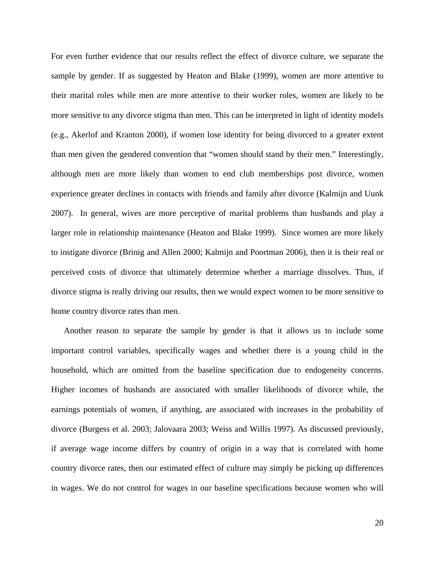For even further evidence that our results reflect the effect of divorce culture, we separate the sample by gender. If as suggested by Heaton and Blake (1999), women are more attentive to their marital roles while men are more attentive to their worker roles, women are likely to be more sensitive to any divorce stigma than men. This can be interpreted in light of identity models (e.g., Akerlof and Kranton 2000), if women lose identity for being divorced to a greater extent than men given the gendered convention that "women should stand by their men." Interestingly, although men are more likely than women to end club memberships post divorce, women experience greater declines in contacts with friends and family after divorce (Kalmijn and Uunk 2007). In general, wives are more perceptive of marital problems than husbands and play a larger role in relationship maintenance (Heaton and Blake 1999). Since women are more likely to instigate divorce (Brinig and Allen 2000; Kalmijn and Poortman 2006), then it is their real or perceived costs of divorce that ultimately determine whether a marriage dissolves. Thus, if divorce stigma is really driving our results, then we would expect women to be more sensitive to home country divorce rates than men.

Another reason to separate the sample by gender is that it allows us to include some important control variables, specifically wages and whether there is a young child in the household, which are omitted from the baseline specification due to endogeneity concerns. Higher incomes of husbands are associated with smaller likelihoods of divorce while, the earnings potentials of women, if anything, are associated with increases in the probability of divorce (Burgess et al. 2003; Jalovaara 2003; Weiss and Willis 1997). As discussed previously, if average wage income differs by country of origin in a way that is correlated with home country divorce rates, then our estimated effect of culture may simply be picking up differences in wages. We do not control for wages in our baseline specifications because women who will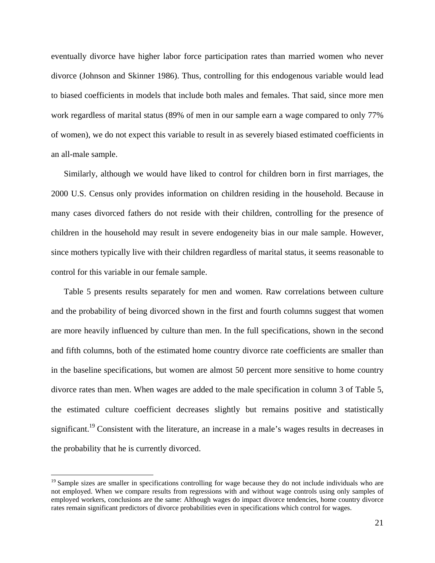eventually divorce have higher labor force participation rates than married women who never divorce (Johnson and Skinner 1986). Thus, controlling for this endogenous variable would lead to biased coefficients in models that include both males and females. That said, since more men work regardless of marital status (89% of men in our sample earn a wage compared to only 77% of women), we do not expect this variable to result in as severely biased estimated coefficients in an all-male sample.

Similarly, although we would have liked to control for children born in first marriages, the 2000 U.S. Census only provides information on children residing in the household. Because in many cases divorced fathers do not reside with their children, controlling for the presence of children in the household may result in severe endogeneity bias in our male sample. However, since mothers typically live with their children regardless of marital status, it seems reasonable to control for this variable in our female sample.

Table 5 presents results separately for men and women. Raw correlations between culture and the probability of being divorced shown in the first and fourth columns suggest that women are more heavily influenced by culture than men. In the full specifications, shown in the second and fifth columns, both of the estimated home country divorce rate coefficients are smaller than in the baseline specifications, but women are almost 50 percent more sensitive to home country divorce rates than men. When wages are added to the male specification in column 3 of Table 5, the estimated culture coefficient decreases slightly but remains positive and statistically significant.<sup>19</sup> Consistent with the literature, an increase in a male's wages results in decreases in the probability that he is currently divorced.

<u>.</u>

 $19$  Sample sizes are smaller in specifications controlling for wage because they do not include individuals who are not employed. When we compare results from regressions with and without wage controls using only samples of employed workers, conclusions are the same: Although wages do impact divorce tendencies, home country divorce rates remain significant predictors of divorce probabilities even in specifications which control for wages.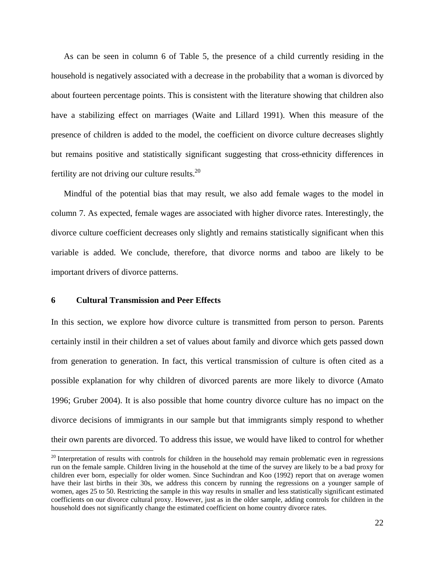As can be seen in column 6 of Table 5, the presence of a child currently residing in the household is negatively associated with a decrease in the probability that a woman is divorced by about fourteen percentage points. This is consistent with the literature showing that children also have a stabilizing effect on marriages (Waite and Lillard 1991). When this measure of the presence of children is added to the model, the coefficient on divorce culture decreases slightly but remains positive and statistically significant suggesting that cross-ethnicity differences in fertility are not driving our culture results. $^{20}$ 

Mindful of the potential bias that may result, we also add female wages to the model in column 7. As expected, female wages are associated with higher divorce rates. Interestingly, the divorce culture coefficient decreases only slightly and remains statistically significant when this variable is added. We conclude, therefore, that divorce norms and taboo are likely to be important drivers of divorce patterns.

#### **6 Cultural Transmission and Peer Effects**

 $\overline{a}$ 

In this section, we explore how divorce culture is transmitted from person to person. Parents certainly instil in their children a set of values about family and divorce which gets passed down from generation to generation. In fact, this vertical transmission of culture is often cited as a possible explanation for why children of divorced parents are more likely to divorce (Amato 1996; Gruber 2004). It is also possible that home country divorce culture has no impact on the divorce decisions of immigrants in our sample but that immigrants simply respond to whether their own parents are divorced. To address this issue, we would have liked to control for whether

<sup>&</sup>lt;sup>20</sup> Interpretation of results with controls for children in the household may remain problematic even in regressions run on the female sample. Children living in the household at the time of the survey are likely to be a bad proxy for children ever born, especially for older women. Since Suchindran and Koo (1992) report that on average women have their last births in their 30s, we address this concern by running the regressions on a younger sample of women, ages 25 to 50. Restricting the sample in this way results in smaller and less statistically significant estimated coefficients on our divorce cultural proxy. However, just as in the older sample, adding controls for children in the household does not significantly change the estimated coefficient on home country divorce rates.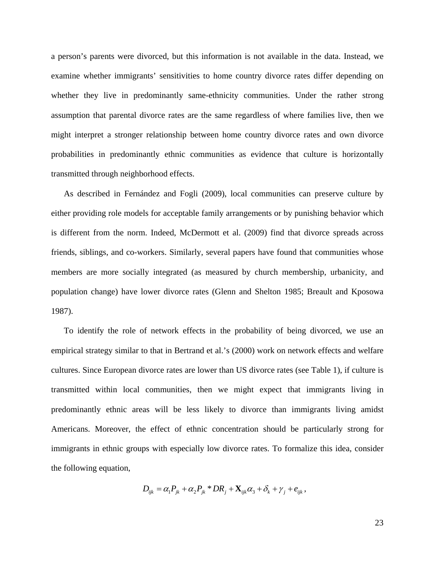a person's parents were divorced, but this information is not available in the data. Instead, we examine whether immigrants' sensitivities to home country divorce rates differ depending on whether they live in predominantly same-ethnicity communities. Under the rather strong assumption that parental divorce rates are the same regardless of where families live, then we might interpret a stronger relationship between home country divorce rates and own divorce probabilities in predominantly ethnic communities as evidence that culture is horizontally transmitted through neighborhood effects.

As described in Fernández and Fogli (2009), local communities can preserve culture by either providing role models for acceptable family arrangements or by punishing behavior which is different from the norm. Indeed, McDermott et al. (2009) find that divorce spreads across friends, siblings, and co-workers. Similarly, several papers have found that communities whose members are more socially integrated (as measured by church membership, urbanicity, and population change) have lower divorce rates (Glenn and Shelton 1985; Breault and Kposowa 1987).

To identify the role of network effects in the probability of being divorced, we use an empirical strategy similar to that in Bertrand et al.'s (2000) work on network effects and welfare cultures. Since European divorce rates are lower than US divorce rates (see Table 1), if culture is transmitted within local communities, then we might expect that immigrants living in predominantly ethnic areas will be less likely to divorce than immigrants living amidst Americans. Moreover, the effect of ethnic concentration should be particularly strong for immigrants in ethnic groups with especially low divorce rates. To formalize this idea, consider the following equation,

$$
D_{ijk} = \alpha_1 P_{jk} + \alpha_2 P_{jk} * D R_j + \mathbf{X}_{ijk} \alpha_3 + \delta_k + \gamma_j + e_{ijk},
$$

23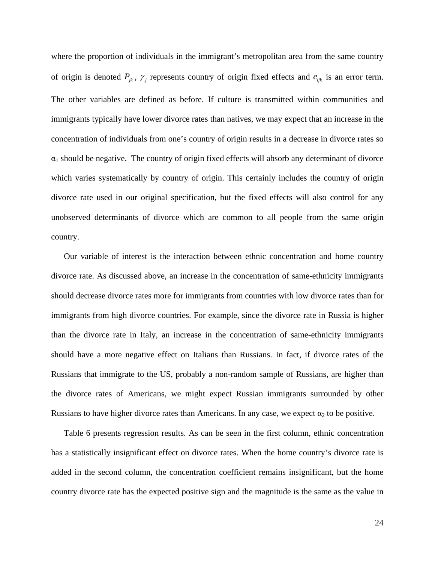where the proportion of individuals in the immigrant's metropolitan area from the same country of origin is denoted  $P_{jk}$ ,  $\gamma_j$  represents country of origin fixed effects and  $e_{ijk}$  is an error term. The other variables are defined as before. If culture is transmitted within communities and immigrants typically have lower divorce rates than natives, we may expect that an increase in the concentration of individuals from one's country of origin results in a decrease in divorce rates so  $\alpha_1$  should be negative. The country of origin fixed effects will absorb any determinant of divorce which varies systematically by country of origin. This certainly includes the country of origin divorce rate used in our original specification, but the fixed effects will also control for any unobserved determinants of divorce which are common to all people from the same origin country.

Our variable of interest is the interaction between ethnic concentration and home country divorce rate. As discussed above, an increase in the concentration of same-ethnicity immigrants should decrease divorce rates more for immigrants from countries with low divorce rates than for immigrants from high divorce countries. For example, since the divorce rate in Russia is higher than the divorce rate in Italy, an increase in the concentration of same-ethnicity immigrants should have a more negative effect on Italians than Russians. In fact, if divorce rates of the Russians that immigrate to the US, probably a non-random sample of Russians, are higher than the divorce rates of Americans, we might expect Russian immigrants surrounded by other Russians to have higher divorce rates than Americans. In any case, we expect  $\alpha_2$  to be positive.

Table 6 presents regression results. As can be seen in the first column, ethnic concentration has a statistically insignificant effect on divorce rates. When the home country's divorce rate is added in the second column, the concentration coefficient remains insignificant, but the home country divorce rate has the expected positive sign and the magnitude is the same as the value in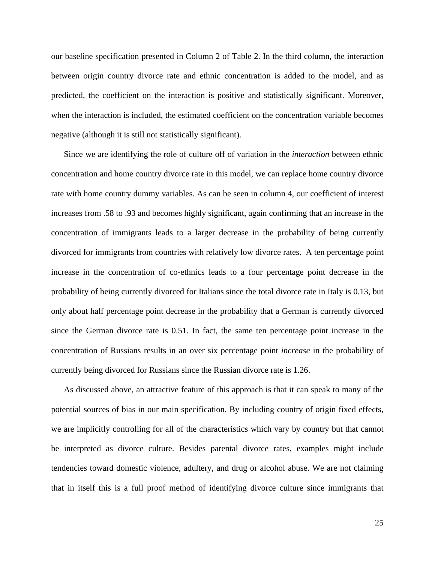our baseline specification presented in Column 2 of Table 2. In the third column, the interaction between origin country divorce rate and ethnic concentration is added to the model, and as predicted, the coefficient on the interaction is positive and statistically significant. Moreover, when the interaction is included, the estimated coefficient on the concentration variable becomes negative (although it is still not statistically significant).

Since we are identifying the role of culture off of variation in the *interaction* between ethnic concentration and home country divorce rate in this model, we can replace home country divorce rate with home country dummy variables. As can be seen in column 4, our coefficient of interest increases from .58 to .93 and becomes highly significant, again confirming that an increase in the concentration of immigrants leads to a larger decrease in the probability of being currently divorced for immigrants from countries with relatively low divorce rates. A ten percentage point increase in the concentration of co-ethnics leads to a four percentage point decrease in the probability of being currently divorced for Italians since the total divorce rate in Italy is 0.13, but only about half percentage point decrease in the probability that a German is currently divorced since the German divorce rate is 0.51. In fact, the same ten percentage point increase in the concentration of Russians results in an over six percentage point *increase* in the probability of currently being divorced for Russians since the Russian divorce rate is 1.26.

As discussed above, an attractive feature of this approach is that it can speak to many of the potential sources of bias in our main specification. By including country of origin fixed effects, we are implicitly controlling for all of the characteristics which vary by country but that cannot be interpreted as divorce culture. Besides parental divorce rates, examples might include tendencies toward domestic violence, adultery, and drug or alcohol abuse. We are not claiming that in itself this is a full proof method of identifying divorce culture since immigrants that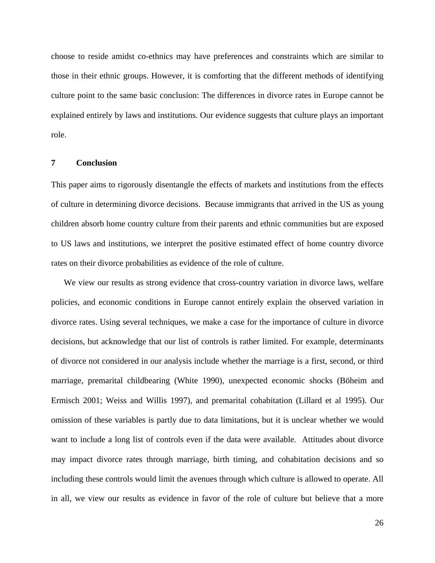choose to reside amidst co-ethnics may have preferences and constraints which are similar to those in their ethnic groups. However, it is comforting that the different methods of identifying culture point to the same basic conclusion: The differences in divorce rates in Europe cannot be explained entirely by laws and institutions. Our evidence suggests that culture plays an important role.

#### **7 Conclusion**

This paper aims to rigorously disentangle the effects of markets and institutions from the effects of culture in determining divorce decisions. Because immigrants that arrived in the US as young children absorb home country culture from their parents and ethnic communities but are exposed to US laws and institutions, we interpret the positive estimated effect of home country divorce rates on their divorce probabilities as evidence of the role of culture.

We view our results as strong evidence that cross-country variation in divorce laws, welfare policies, and economic conditions in Europe cannot entirely explain the observed variation in divorce rates. Using several techniques, we make a case for the importance of culture in divorce decisions, but acknowledge that our list of controls is rather limited. For example, determinants of divorce not considered in our analysis include whether the marriage is a first, second, or third marriage, premarital childbearing (White 1990), unexpected economic shocks (Böheim and Ermisch 2001; Weiss and Willis 1997), and premarital cohabitation (Lillard et al 1995). Our omission of these variables is partly due to data limitations, but it is unclear whether we would want to include a long list of controls even if the data were available. Attitudes about divorce may impact divorce rates through marriage, birth timing, and cohabitation decisions and so including these controls would limit the avenues through which culture is allowed to operate. All in all, we view our results as evidence in favor of the role of culture but believe that a more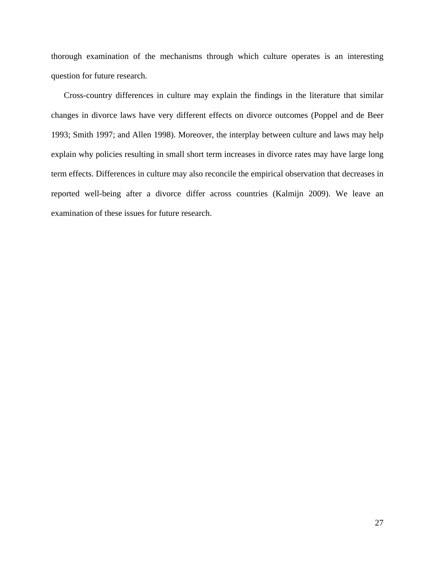thorough examination of the mechanisms through which culture operates is an interesting question for future research.

Cross-country differences in culture may explain the findings in the literature that similar changes in divorce laws have very different effects on divorce outcomes (Poppel and de Beer 1993; Smith 1997; and Allen 1998). Moreover, the interplay between culture and laws may help explain why policies resulting in small short term increases in divorce rates may have large long term effects. Differences in culture may also reconcile the empirical observation that decreases in reported well-being after a divorce differ across countries (Kalmijn 2009). We leave an examination of these issues for future research.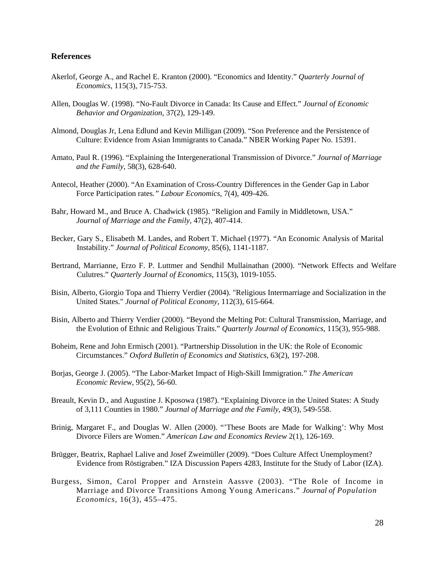#### **References**

- Akerlof, George A., and Rachel E. Kranton (2000). "Economics and Identity." *Quarterly Journal of Economics*, 115(3), 715-753.
- Allen, Douglas W. (1998). "No-Fault Divorce in Canada: Its Cause and Effect." *Journal of Economic Behavior and Organization*, 37(2), 129-149.
- Almond, Douglas Jr, Lena Edlund and Kevin Milligan (2009). "Son Preference and the Persistence of Culture: Evidence from Asian Immigrants to Canada." NBER Working Paper No. 15391.
- Amato, Paul R. (1996). "Explaining the Intergenerational Transmission of Divorce." *Journal of Marriage and the Family*, 58(3), 628-640.
- Antecol, Heather (2000). "An Examination of Cross-Country Differences in the Gender Gap in Labor Force Participation rates*." Labour Economics*, 7(4), 409-426.
- Bahr, Howard M., and Bruce A. Chadwick (1985). "Religion and Family in Middletown, USA."  *Journal of Marriage and the Family*, 47(2), 407-414.
- Becker, Gary S., Elisabeth M. Landes, and Robert T. Michael (1977). "An Economic Analysis of Marital Instability." *Journal of Political Economy*, 85(6), 1141-1187.
- Bertrand, Marrianne, Erzo F. P. Luttmer and Sendhil Mullainathan (2000). "Network Effects and Welfare Culutres." *Quarterly Journal of Economics*, 115(3), 1019-1055.
- Bisin, Alberto, Giorgio Topa and Thierry Verdier (2004). "Religious Intermarriage and Socialization in the United States." *Journal of Political Economy*, 112(3), 615-664.
- Bisin, Alberto and Thierry Verdier (2000). "Beyond the Melting Pot: Cultural Transmission, Marriage, and the Evolution of Ethnic and Religious Traits." *Quarterly Journal of Economics*, 115(3), 955-988.
- Boheim, Rene and John Ermisch (2001). "Partnership Dissolution in the UK: the Role of Economic Circumstances." *Oxford Bulletin of Economics and Statistics*, 63(2), 197-208.
- Borjas, George J. (2005). "The Labor-Market Impact of High-Skill Immigration." *The American Economic Review*, 95(2), 56-60.
- Breault, Kevin D., and Augustine J. Kposowa (1987). "Explaining Divorce in the United States: A Study of 3,111 Counties in 1980." *Journal of Marriage and the Family*, 49(3), 549-558.
- Brinig, Margaret F., and Douglas W. Allen (2000). "'These Boots are Made for Walking': Why Most Divorce Filers are Women." *American Law and Economics Review* 2(1), 126-169.
- Brügger, Beatrix, Raphael Lalive and Josef Zweimüller (2009). "Does Culture Affect Unemployment? Evidence from Röstigraben." IZA Discussion Papers 4283, Institute for the Study of Labor (IZA).
- Burgess, Simon, Carol Propper and Arnstein Aassve (2003). "The Role of Income in Marriage and Divorce Transitions Among Young Americans." *Journal of Population Economics*, 16(3), 455–475.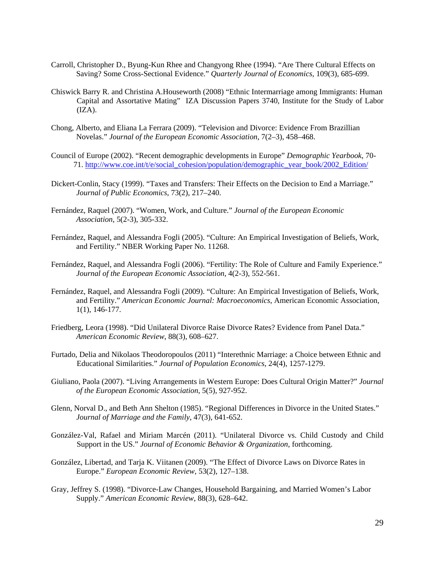- Carroll, Christopher D., Byung-Kun Rhee and Changyong Rhee (1994). "Are There Cultural Effects on Saving? Some Cross-Sectional Evidence." *Quarterly Journal of Economics*, 109(3), 685-699.
- Chiswick Barry R. and Christina A.Houseworth (2008) "Ethnic Intermarriage among Immigrants: Human Capital and Assortative Mating" IZA Discussion Papers 3740, Institute for the Study of Labor  $(IZA).$
- Chong, Alberto, and Eliana La Ferrara (2009). "Television and Divorce: Evidence From Brazillian Novelas." *Journal of the European Economic Association,* 7(2–3), 458–468.
- Council of Europe (2002). "Recent demographic developments in Europe" *Demographic Yearbook*, 70- 71. http://www.coe.int/t/e/social\_cohesion/population/demographic\_year\_book/2002\_Edition/
- Dickert-Conlin, Stacy (1999). "Taxes and Transfers: Their Effects on the Decision to End a Marriage." *Journal of Public Economics*, 73(2), 217–240.
- Fernández, Raquel (2007). "Women, Work, and Culture." *Journal of the European Economic Association*, 5(2-3), 305-332.
- Fernández, Raquel, and Alessandra Fogli (2005). "Culture: An Empirical Investigation of Beliefs, Work, and Fertility." NBER Working Paper No. 11268.
- Fernández, Raquel, and Alessandra Fogli (2006). "Fertility: The Role of Culture and Family Experience." *Journal of the European Economic Association*, 4(2-3), 552-561.
- Fernández, Raquel, and Alessandra Fogli (2009). "Culture: An Empirical Investigation of Beliefs, Work, and Fertility." *American Economic Journal: Macroeconomics*, American Economic Association, 1(1), 146-177.
- Friedberg, Leora (1998). "Did Unilateral Divorce Raise Divorce Rates? Evidence from Panel Data."  *American Economic Review*, 88(3), 608–627.
- Furtado, Delia and Nikolaos Theodoropoulos (2011) "Interethnic Marriage: a Choice between Ethnic and Educational Similarities." *Journal of Population Economics*, 24(4), 1257-1279.
- Giuliano, Paola (2007). "Living Arrangements in Western Europe: Does Cultural Origin Matter?" *Journal of the European Economic Association*, 5(5), 927-952.
- Glenn, Norval D., and Beth Ann Shelton (1985). "Regional Differences in Divorce in the United States." *Journal of Marriage and the Family*, 47(3), 641-652.
- González-Val, Rafael and Miriam Marcén (2011). "Unilateral Divorce vs. Child Custody and Child Support in the US." *Journal of Economic Behavior & Organization*, forthcoming.
- González, Libertad, and Tarja K. Viitanen (2009). "The Effect of Divorce Laws on Divorce Rates in Europe." *European Economic Review*, 53(2), 127–138.
- Gray, Jeffrey S. (1998). "Divorce-Law Changes, Household Bargaining, and Married Women's Labor Supply." *American Economic Review*, 88(3), 628–642.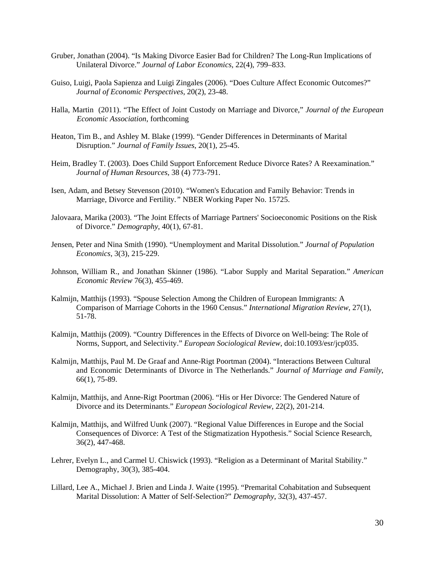- Gruber, Jonathan (2004). "Is Making Divorce Easier Bad for Children? The Long-Run Implications of Unilateral Divorce." *Journal of Labor Economics*, 22(4), 799–833.
- Guiso, Luigi, Paola Sapienza and Luigi Zingales (2006). "Does Culture Affect Economic Outcomes?" *Journal of Economic Perspectives,* 20(2), 23-48.
- Halla, Martin (2011). "The Effect of Joint Custody on Marriage and Divorce," *Journal of the European Economic Association*, forthcoming
- Heaton, Tim B., and Ashley M. Blake (1999). "Gender Differences in Determinants of Marital Disruption." *Journal of Family Issues*, 20(1), 25-45.
- Heim, Bradley T. (2003). Does Child Support Enforcement Reduce Divorce Rates? A Reexamination."  *Journal of Human Resources*, 38 (4) 773-791.
- Isen, Adam, and Betsey Stevenson (2010). "Women's Education and Family Behavior: Trends in Marriage, Divorce and Fertility*."* NBER Working Paper No. 15725.
- Jalovaara, Marika (2003). "The Joint Effects of Marriage Partners' Socioeconomic Positions on the Risk of Divorce." *Demography*, 40(1), 67-81.
- Jensen, Peter and Nina Smith (1990). "Unemployment and Marital Dissolution." *Journal of Population Economics*, 3(3), 215-229.
- Johnson, William R., and Jonathan Skinner (1986). "Labor Supply and Marital Separation." *American Economic Review* 76(3), 455-469.
- Kalmijn, Matthijs (1993). "Spouse Selection Among the Children of European Immigrants: A Comparison of Marriage Cohorts in the 1960 Census." *International Migration Review*, 27(1), 51-78.
- Kalmijn, Matthijs (2009). "Country Differences in the Effects of Divorce on Well-being: The Role of Norms, Support, and Selectivity." *European Sociological Review*, doi:10.1093/esr/jcp035.
- Kalmijn, Matthijs, Paul M. De Graaf and Anne-Rigt Poortman (2004). "Interactions Between Cultural and Economic Determinants of Divorce in The Netherlands." *Journal of Marriage and Family*, 66(1), 75-89.
- Kalmijn, Matthijs, and Anne-Rigt Poortman (2006). "His or Her Divorce: The Gendered Nature of Divorce and its Determinants." *European Sociological Review,* 22(2), 201-214.
- Kalmijn, Matthijs, and Wilfred Uunk (2007). "Regional Value Differences in Europe and the Social Consequences of Divorce: A Test of the Stigmatization Hypothesis." Social Science Research, 36(2), 447-468.
- Lehrer, Evelyn L., and Carmel U. Chiswick (1993). "Religion as a Determinant of Marital Stability." Demography, 30(3), 385-404.
- Lillard, Lee A., Michael J. Brien and Linda J. Waite (1995). "Premarital Cohabitation and Subsequent Marital Dissolution: A Matter of Self-Selection?" *Demography*, 32(3), 437-457.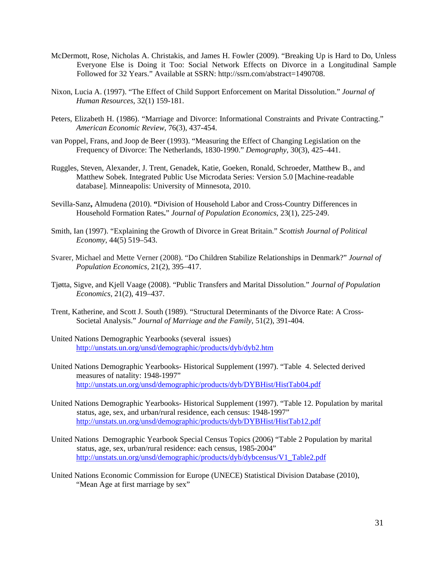- McDermott, Rose, Nicholas A. Christakis, and James H. Fowler (2009). "Breaking Up is Hard to Do, Unless Everyone Else is Doing it Too: Social Network Effects on Divorce in a Longitudinal Sample Followed for 32 Years." Available at SSRN: http://ssrn.com/abstract=1490708.
- Nixon, Lucia A. (1997). "The Effect of Child Support Enforcement on Marital Dissolution." *Journal of Human Resources*, 32(1) 159-181.
- Peters, Elizabeth H. (1986). "Marriage and Divorce: Informational Constraints and Private Contracting." *American Economic Review*, 76(3), 437-454.
- van Poppel, Frans, and Joop de Beer (1993). "Measuring the Effect of Changing Legislation on the Frequency of Divorce: The Netherlands, 1830-1990." *Demography*, 30(3), 425–441.
- Ruggles, Steven, Alexander, J. Trent, Genadek, Katie, Goeken, Ronald, Schroeder, Matthew B., and Matthew Sobek. Integrated Public Use Microdata Series: Version 5.0 [Machine-readable database]. Minneapolis: University of Minnesota, 2010.
- Sevilla-Sanz**,** Almudena (2010). **"**Division of Household Labor and Cross-Country Differences in Household Formation Rates**.**" *Journal of Population Economics*, 23(1), 225-249.
- Smith, Ian (1997). "Explaining the Growth of Divorce in Great Britain." *Scottish Journal of Political Economy*, 44(5) 519–543.
- Svarer, Michael and Mette Verner (2008). "Do Children Stabilize Relationships in Denmark?" *Journal of Population Economics,* 21(2), 395–417.
- Tjøtta, Sigve, and Kjell Vaage (2008). "Public Transfers and Marital Dissolution." *Journal of Population Economics,* 21(2), 419–437.
- Trent, Katherine, and Scott J. South (1989). "Structural Determinants of the Divorce Rate: A Cross- Societal Analysis." *Journal of Marriage and the Family*, 51(2), 391-404.
- United Nations Demographic Yearbooks (several issues) http://unstats.un.org/unsd/demographic/products/dyb/dyb2.htm
- United Nations Demographic Yearbooks- Historical Supplement (1997). "Table 4. Selected derived measures of natality: 1948-1997" http://unstats.un.org/unsd/demographic/products/dyb/DYBHist/HistTab04.pdf
- United Nations Demographic Yearbooks- Historical Supplement (1997). "Table 12. Population by marital status, age, sex, and urban/rural residence, each census: 1948-1997" http://unstats.un.org/unsd/demographic/products/dyb/DYBHist/HistTab12.pdf
- United Nations Demographic Yearbook Special Census Topics (2006) "Table 2 Population by marital status, age, sex, urban/rural residence: each census, 1985-2004" http://unstats.un.org/unsd/demographic/products/dyb/dybcensus/V1\_Table2.pdf
- United Nations Economic Commission for Europe (UNECE) Statistical Division Database (2010), "Mean Age at first marriage by sex"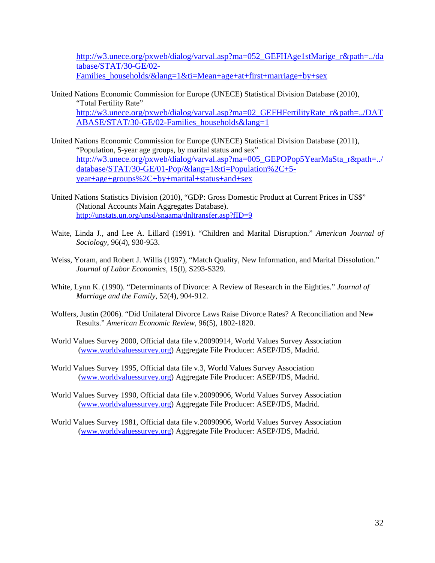http://w3.unece.org/pxweb/dialog/varval.asp?ma=052\_GEFHAge1stMarige\_r&path=../da tabase/STAT/30-GE/02- Families\_households/&lang=1&ti=Mean+age+at+first+marriage+by+sex

- United Nations Economic Commission for Europe (UNECE) Statistical Division Database (2010), "Total Fertility Rate" http://w3.unece.org/pxweb/dialog/varval.asp?ma=02\_GEFHFertilityRate\_r&path=../DAT ABASE/STAT/30-GE/02-Families\_households&lang=1
- United Nations Economic Commission for Europe (UNECE) Statistical Division Database (2011), "Population, 5-year age groups, by marital status and sex" http://w3.unece.org/pxweb/dialog/varval.asp?ma=005\_GEPOPop5YearMaSta\_r&path=../ database/STAT/30-GE/01-Pop/&lang=1&ti=Population%2C+5 year+age+groups%2C+by+marital+status+and+sex
- United Nations Statistics Division (2010), "GDP: Gross Domestic Product at Current Prices in US\$" (National Accounts Main Aggregates Database). http://unstats.un.org/unsd/snaama/dnltransfer.asp?fID=9
- Waite, Linda J., and Lee A. Lillard (1991). "Children and Marital Disruption." *American Journal of Sociology*, 96(4), 930-953.
- Weiss, Yoram, and Robert J. Willis (1997), "Match Quality, New Information, and Marital Dissolution." *Journal of Labor Economics*, 15(l), S293-S329.
- White, Lynn K. (1990). "Determinants of Divorce: A Review of Research in the Eighties." *Journal of Marriage and the Family*, 52(4), 904-912.
- Wolfers, Justin (2006). "Did Unilateral Divorce Laws Raise Divorce Rates? A Reconciliation and New Results." *American Economic Review*, 96(5), 1802-1820.
- World Values Survey 2000, Official data file v.20090914, World Values Survey Association (www.worldvaluessurvey.org) Aggregate File Producer: ASEP/JDS, Madrid.
- World Values Survey 1995, Official data file v.3, World Values Survey Association (www.worldvaluessurvey.org) Aggregate File Producer: ASEP/JDS, Madrid.
- World Values Survey 1990, Official data file v.20090906, World Values Survey Association (www.worldvaluessurvey.org) Aggregate File Producer: ASEP/JDS, Madrid.
- World Values Survey 1981, Official data file v.20090906, World Values Survey Association (www.worldvaluessurvey.org) Aggregate File Producer: ASEP/JDS, Madrid.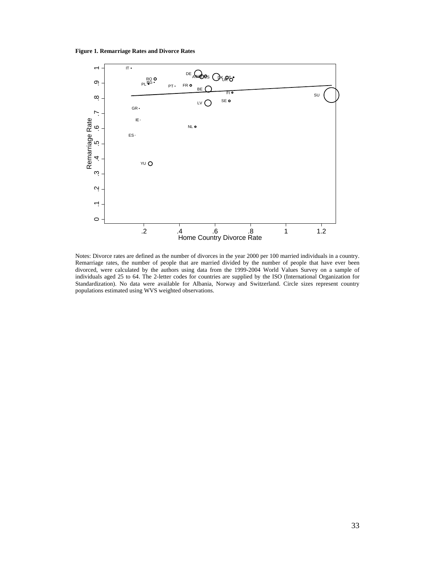**Figure 1. Remarriage Rates and Divorce Rates**



Notes: Divorce rates are defined as the number of divorces in the year 2000 per 100 married individuals in a country. Remarriage rates, the number of people that are married divided by the number of people that have ever been divorced, were calculated by the authors using data from the 1999-2004 World Values Survey on a sample of individuals aged 25 to 64. The 2-letter codes for countries are supplied by the ISO (International Organization for Standardization). No data were available for Albania, Norway and Switzerland. Circle sizes represent country populations estimated using WVS weighted observations.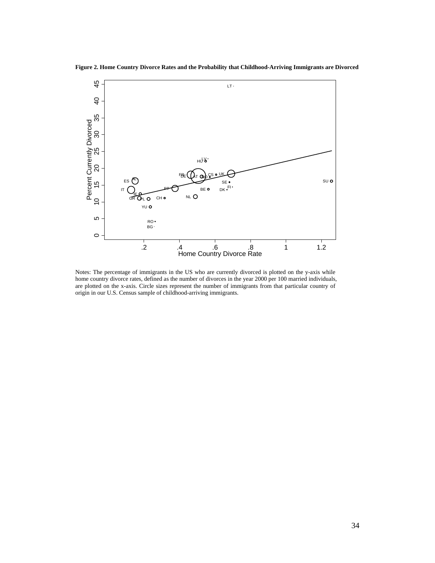**Figure 2. Home Country Divorce Rates and the Probability that Childhood-Arriving Immigrants are Divorced** 



Notes: The percentage of immigrants in the US who are currently divorced is plotted on the y-axis while home country divorce rates, defined as the number of divorces in the year 2000 per 100 married individuals, are plotted on the x-axis. Circle sizes represent the number of immigrants from that particular country of origin in our U.S. Census sample of childhood-arriving immigrants.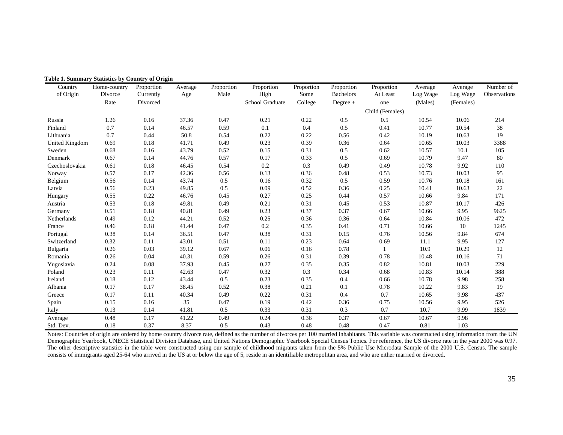| Country<br>of Origin | Home-country<br>Divorce | Proportion<br>Currently | Average<br>Age | Proportion<br>Male | Proportion<br>High | Proportion<br>Some | Proportion<br><b>Bachelors</b> | Proportion<br>At Least | Average<br>Log Wage | Average<br>Log Wage | Number of<br>Observations |
|----------------------|-------------------------|-------------------------|----------------|--------------------|--------------------|--------------------|--------------------------------|------------------------|---------------------|---------------------|---------------------------|
|                      | Rate                    | Divorced                |                |                    | School Graduate    | College            | Degree +                       | one                    | (Males)             | (Females)           |                           |
|                      |                         |                         |                |                    |                    |                    |                                | Child (Females)        |                     |                     |                           |
| Russia               | 1.26                    | 0.16                    | 37.36          | 0.47               | 0.21               | 0.22               | 0.5                            | 0.5                    | 10.54               | 10.06               | 214                       |
| Finland              | 0.7                     | 0.14                    | 46.57          | 0.59               | 0.1                | 0.4                | 0.5                            | 0.41                   | 10.77               | 10.54               | 38                        |
| Lithuania            | 0.7                     | 0.44                    | 50.8           | 0.54               | 0.22               | 0.22               | 0.56                           | 0.42                   | 10.19               | 10.63               | 19                        |
| United Kingdom       | 0.69                    | 0.18                    | 41.71          | 0.49               | 0.23               | 0.39               | 0.36                           | 0.64                   | 10.65               | 10.03               | 3388                      |
| Sweden               | 0.68                    | 0.16                    | 43.79          | 0.52               | 0.15               | 0.31               | 0.5                            | 0.62                   | 10.57               | 10.1                | 105                       |
| Denmark              | 0.67                    | 0.14                    | 44.76          | 0.57               | 0.17               | 0.33               | 0.5                            | 0.69                   | 10.79               | 9.47                | $80\,$                    |
| Czechoslovakia       | 0.61                    | 0.18                    | 46.45          | 0.54               | 0.2                | 0.3                | 0.49                           | 0.49                   | 10.78               | 9.92                | 110                       |
| Norway               | 0.57                    | 0.17                    | 42.36          | 0.56               | 0.13               | 0.36               | 0.48                           | 0.53                   | 10.73               | 10.03               | 95                        |
| Belgium              | 0.56                    | 0.14                    | 43.74          | 0.5                | 0.16               | 0.32               | 0.5                            | 0.59                   | 10.76               | 10.18               | 161                       |
| Latvia               | 0.56                    | 0.23                    | 49.85          | 0.5                | 0.09               | 0.52               | 0.36                           | 0.25                   | 10.41               | 10.63               | $22\,$                    |
| Hungary              | 0.55                    | 0.22                    | 46.76          | 0.45               | 0.27               | 0.25               | 0.44                           | 0.57                   | 10.66               | 9.84                | 171                       |
| Austria              | 0.53                    | 0.18                    | 49.81          | 0.49               | 0.21               | 0.31               | 0.45                           | 0.53                   | 10.87               | 10.17               | 426                       |
| Germany              | 0.51                    | 0.18                    | 40.81          | 0.49               | 0.23               | 0.37               | 0.37                           | 0.67                   | 10.66               | 9.95                | 9625                      |
| Netherlands          | 0.49                    | 0.12                    | 44.21          | 0.52               | 0.25               | 0.36               | 0.36                           | 0.64                   | 10.84               | 10.06               | 472                       |
| France               | 0.46                    | 0.18                    | 41.44          | 0.47               | 0.2                | 0.35               | 0.41                           | 0.71                   | 10.66               | 10                  | 1245                      |
| Portugal             | 0.38                    | 0.14                    | 36.51          | 0.47               | 0.38               | 0.31               | 0.15                           | 0.76                   | 10.56               | 9.84                | 674                       |
| Switzerland          | 0.32                    | 0.11                    | 43.01          | 0.51               | 0.11               | 0.23               | 0.64                           | 0.69                   | 11.1                | 9.95                | 127                       |
| Bulgaria             | 0.26                    | 0.03                    | 39.12          | 0.67               | 0.06               | 0.16               | 0.78                           | $\overline{1}$         | 10.9                | 10.29               | 12                        |
| Romania              | 0.26                    | 0.04                    | 40.31          | 0.59               | 0.26               | 0.31               | 0.39                           | 0.78                   | 10.48               | 10.16               | 71                        |
| Yugoslavia           | 0.24                    | 0.08                    | 37.93          | 0.45               | 0.27               | 0.35               | 0.35                           | 0.82                   | 10.81               | 10.03               | 229                       |
| Poland               | 0.23                    | 0.11                    | 42.63          | 0.47               | 0.32               | 0.3                | 0.34                           | 0.68                   | 10.83               | 10.14               | 388                       |
| Ireland              | 0.18                    | 0.12                    | 43.44          | 0.5                | 0.23               | 0.35               | 0.4                            | 0.66                   | 10.78               | 9.98                | 258                       |
| Albania              | 0.17                    | 0.17                    | 38.45          | 0.52               | 0.38               | 0.21               | 0.1                            | 0.78                   | 10.22               | 9.83                | 19                        |
| Greece               | 0.17                    | 0.11                    | 40.34          | 0.49               | 0.22               | 0.31               | 0.4                            | 0.7                    | 10.65               | 9.98                | 437                       |
| Spain                | 0.15                    | 0.16                    | 35             | 0.47               | 0.19               | 0.42               | 0.36                           | 0.75                   | 10.56               | 9.95                | 526                       |
| Italy                | 0.13                    | 0.14                    | 41.81          | 0.5                | 0.33               | 0.31               | 0.3                            | 0.7                    | 10.7                | 9.99                | 1839                      |
| Average              | 0.48                    | 0.17                    | 41.22          | 0.49               | 0.24               | 0.36               | 0.37                           | 0.67                   | 10.67               | 9.98                |                           |
| Std. Dev.            | 0.18                    | 0.37                    | 8.37           | 0.5                | 0.43               | 0.48               | 0.48                           | 0.47                   | 0.81                | 1.03                |                           |

**Table 1. Summary Statistics by Country of Origin**

Notes: Countries of origin are ordered by home country divorce rate, defined as the number of divorces per 100 married inhabitants. This variable was constructed using information from the UN Demographic Yearbook, UNECE Statistical Division Database, and United Nations Demographic Yearbook Special Census Topics. For reference, the US divorce rate in the year 2000 was 0.97. The other descriptive statistics in the table were constructed using our sample of childhood migrants taken from the 5% Public Use Microdata Sample of the 2000 U.S. Census. The sample consists of immigrants aged 25-64 who arrived in the US at or below the age of 5, reside in an identifiable metropolitan area, and who are either married or divorced.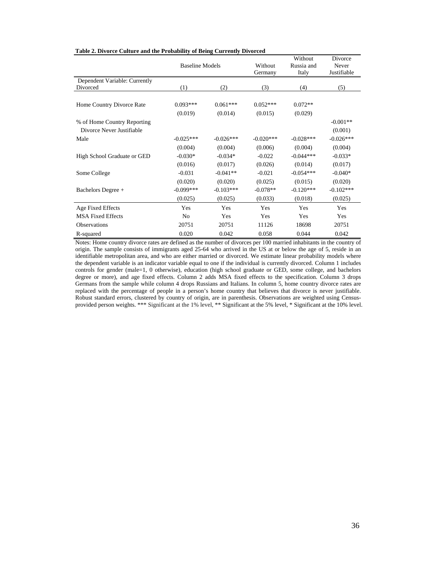|                               | <b>Baseline Models</b> |             |                    | Without             | Divorce              |
|-------------------------------|------------------------|-------------|--------------------|---------------------|----------------------|
|                               |                        |             | Without<br>Germany | Russia and<br>Italy | Never<br>Justifiable |
| Dependent Variable: Currently |                        |             |                    |                     |                      |
| Divorced                      | (1)                    | (2)         | (3)                | (4)                 | (5)                  |
|                               |                        |             |                    |                     |                      |
| Home Country Divorce Rate     | $0.093***$             | $0.061***$  | $0.052***$         | $0.072**$           |                      |
|                               | (0.019)                | (0.014)     | (0.015)            | (0.029)             |                      |
| % of Home Country Reporting   |                        |             |                    |                     | $-0.001**$           |
| Divorce Never Justifiable     |                        |             |                    |                     | (0.001)              |
| Male                          | $-0.025***$            | $-0.026***$ | $-0.020***$        | $-0.028***$         | $-0.026***$          |
|                               | (0.004)                | (0.004)     | (0.006)            | (0.004)             | (0.004)              |
| High School Graduate or GED   | $-0.030*$              | $-0.034*$   | $-0.022$           | $-0.044***$         | $-0.033*$            |
|                               | (0.016)                | (0.017)     | (0.026)            | (0.014)             | (0.017)              |
| Some College                  | $-0.031$               | $-0.041**$  | $-0.021$           | $-0.054***$         | $-0.040*$            |
|                               | (0.020)                | (0.020)     | (0.025)            | (0.015)             | (0.020)              |
| Bachelors Degree +            | $-0.099***$            | $-0.103***$ | $-0.078**$         | $-0.120***$         | $-0.102***$          |
|                               | (0.025)                | (0.025)     | (0.033)            | (0.018)             | (0.025)              |
| Age Fixed Effects             | Yes                    | Yes         | Yes                | Yes                 | Yes                  |
| <b>MSA Fixed Effects</b>      | N <sub>0</sub>         | Yes         | Yes                | Yes                 | Yes                  |
| <b>Observations</b>           | 20751                  | 20751       | 11126              | 18698               | 20751                |
| R-squared                     | 0.020                  | 0.042       | 0.058              | 0.044               | 0.042                |

#### **Table 2. Divorce Culture and the Probability of Being Currently Divorced**

Notes: Home country divorce rates are defined as the number of divorces per 100 married inhabitants in the country of origin. The sample consists of immigrants aged 25-64 who arrived in the US at or below the age of 5, reside in an identifiable metropolitan area, and who are either married or divorced. We estimate linear probability models where the dependent variable is an indicator variable equal to one if the individual is currently divorced. Column 1 includes controls for gender (male=1, 0 otherwise), education (high school graduate or GED, some college, and bachelors degree or more), and age fixed effects. Column 2 adds MSA fixed effects to the specification. Column 3 drops Germans from the sample while column 4 drops Russians and Italians. In column 5, home country divorce rates are replaced with the percentage of people in a person's home country that believes that divorce is never justifiable. Robust standard errors, clustered by country of origin, are in parenthesis. Observations are weighted using Censusprovided person weights. \*\*\* Significant at the 1% level, \*\* Significant at the 5% level, \* Significant at the 10% level.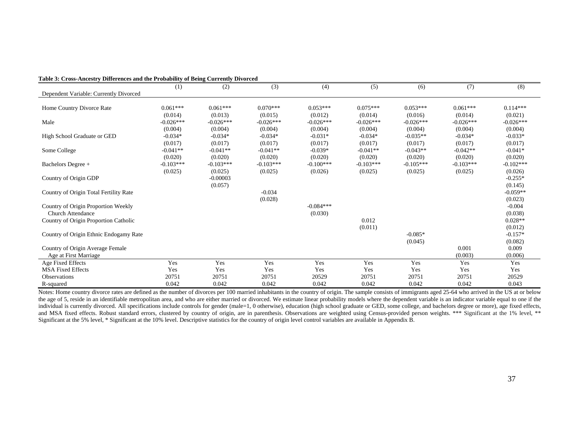| $\frac{1}{2}$ of $\frac{1}{2}$ or $\frac{1}{2}$ of $\frac{1}{2}$ of $\frac{1}{2}$ of $\frac{1}{2}$ of $\frac{1}{2}$ of $\frac{1}{2}$ of $\frac{1}{2}$ of $\frac{1}{2}$ of $\frac{1}{2}$ | (1)         | (2)         | (3)         | (4)         | (5)         | (6)         | (7)         | (8)         |
|-----------------------------------------------------------------------------------------------------------------------------------------------------------------------------------------|-------------|-------------|-------------|-------------|-------------|-------------|-------------|-------------|
| Dependent Variable: Currently Divorced                                                                                                                                                  |             |             |             |             |             |             |             |             |
|                                                                                                                                                                                         |             |             |             |             |             |             |             |             |
| Home Country Divorce Rate                                                                                                                                                               | $0.061***$  | $0.061***$  | $0.070***$  | $0.053***$  | $0.075***$  | $0.053***$  | $0.061***$  | $0.114***$  |
|                                                                                                                                                                                         | (0.014)     | (0.013)     | (0.015)     | (0.012)     | (0.014)     | (0.016)     | (0.014)     | (0.021)     |
| Male                                                                                                                                                                                    | $-0.026***$ | $-0.026***$ | $-0.026***$ | $-0.026***$ | $-0.026***$ | $-0.026***$ | $-0.026***$ | $-0.026***$ |
|                                                                                                                                                                                         | (0.004)     | (0.004)     | (0.004)     | (0.004)     | (0.004)     | (0.004)     | (0.004)     | (0.004)     |
| High School Graduate or GED                                                                                                                                                             | $-0.034*$   | $-0.034*$   | $-0.034*$   | $-0.031*$   | $-0.034*$   | $-0.035**$  | $-0.034*$   | $-0.033*$   |
|                                                                                                                                                                                         | (0.017)     | (0.017)     | (0.017)     | (0.017)     | (0.017)     | (0.017)     | (0.017)     | (0.017)     |
| Some College                                                                                                                                                                            | $-0.041**$  | $-0.041**$  | $-0.041**$  | $-0.039*$   | $-0.041**$  | $-0.043**$  | $-0.042**$  | $-0.041*$   |
|                                                                                                                                                                                         | (0.020)     | (0.020)     | (0.020)     | (0.020)     | (0.020)     | (0.020)     | (0.020)     | (0.020)     |
| Bachelors Degree +                                                                                                                                                                      | $-0.103***$ | $-0.103***$ | $-0.103***$ | $-0.100***$ | $-0.103***$ | $-0.105***$ | $-0.103***$ | $-0.102***$ |
|                                                                                                                                                                                         | (0.025)     | (0.025)     | (0.025)     | (0.026)     | (0.025)     | (0.025)     | (0.025)     | (0.026)     |
| Country of Origin GDP                                                                                                                                                                   |             | $-0.00003$  |             |             |             |             |             | $-0.255*$   |
|                                                                                                                                                                                         |             | (0.057)     |             |             |             |             |             | (0.145)     |
| Country of Origin Total Fertility Rate                                                                                                                                                  |             |             | $-0.034$    |             |             |             |             | $-0.059**$  |
|                                                                                                                                                                                         |             |             | (0.028)     |             |             |             |             | (0.023)     |
| Country of Origin Proportion Weekly                                                                                                                                                     |             |             |             | $-0.084***$ |             |             |             | $-0.004$    |
| <b>Church Attendance</b>                                                                                                                                                                |             |             |             | (0.030)     |             |             |             | (0.038)     |
| Country of Origin Proportion Catholic                                                                                                                                                   |             |             |             |             | 0.012       |             |             | $0.028**$   |
|                                                                                                                                                                                         |             |             |             |             | (0.011)     |             |             | (0.012)     |
| Country of Origin Ethnic Endogamy Rate                                                                                                                                                  |             |             |             |             |             | $-0.085*$   |             | $-0.157*$   |
|                                                                                                                                                                                         |             |             |             |             |             | (0.045)     |             | (0.082)     |
| Country of Origin Average Female                                                                                                                                                        |             |             |             |             |             |             | 0.001       | 0.009       |
| Age at First Marriage                                                                                                                                                                   |             |             |             |             |             |             | (0.003)     | (0.006)     |
| Age Fixed Effects                                                                                                                                                                       | Yes         | Yes         | Yes         | Yes         | Yes         | Yes         | Yes         | Yes         |
| <b>MSA Fixed Effects</b>                                                                                                                                                                | Yes         | Yes         | Yes         | Yes         | Yes         | Yes         | Yes         | Yes         |
| <b>Observations</b>                                                                                                                                                                     | 20751       | 20751       | 20751       | 20529       | 20751       | 20751       | 20751       | 20529       |
| R-squared                                                                                                                                                                               | 0.042       | 0.042       | 0.042       | 0.042       | 0.042       | 0.042       | 0.042       | 0.043       |

#### **Table 3: Cross-Ancestry Differences and the Probability of Being Currently Divorced**

Notes: Home country divorce rates are defined as the number of divorces per 100 married inhabitants in the country of origin. The sample consists of immigrants aged 25-64 who arrived in the US at or below the age of 5, reside in an identifiable metropolitan area, and who are either married or divorced. We estimate linear probability models where the dependent variable is an indicator variable equal to one if the individual is currently divorced. All specifications include controls for gender (male=1, 0 otherwise), education (high school graduate or GED, some college, and bachelors degree or more), age fixed effects, and MSA fixed effects. Robust standard errors, clustered by country of origin, are in parenthesis. Observations are weighted using Census-provided person weights. \*\*\* Significant at the 1% level, \*\* Significant at the 5% level, \* Significant at the 10% level. Descriptive statistics for the country of origin level control variables are available in Appendix B.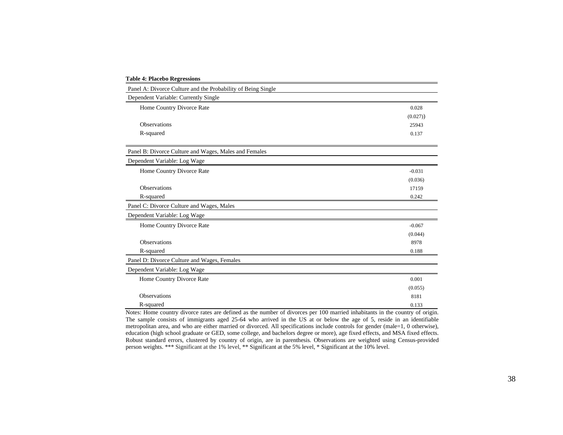| <b>Table 4: Placebo Regressions</b>                          |          |
|--------------------------------------------------------------|----------|
| Panel A: Divorce Culture and the Probability of Being Single |          |
| Dependent Variable: Currently Single                         |          |
| Home Country Divorce Rate                                    | 0.028    |
|                                                              | (0.027)  |
| <b>Observations</b>                                          | 25943    |
| R-squared                                                    | 0.137    |
| Panel B: Divorce Culture and Wages, Males and Females        |          |
| Dependent Variable: Log Wage                                 |          |
| Home Country Divorce Rate                                    | $-0.031$ |
|                                                              | (0.036)  |
| <b>Observations</b>                                          | 17159    |
| R-squared                                                    | 0.242    |
| Panel C: Divorce Culture and Wages, Males                    |          |
| Dependent Variable: Log Wage                                 |          |
| Home Country Divorce Rate                                    | $-0.067$ |
|                                                              | (0.044)  |
| <b>Observations</b>                                          | 8978     |
| R-squared                                                    | 0.188    |
| Panel D: Divorce Culture and Wages, Females                  |          |
| Dependent Variable: Log Wage                                 |          |
| Home Country Divorce Rate                                    | 0.001    |
|                                                              | (0.055)  |
| <b>Observations</b>                                          | 8181     |
| R-squared                                                    | 0.133    |

Notes: Home country divorce rates are defined as the number of divorces per 100 married inhabitants in the country of origin. The sample consists of immigrants aged 25-64 who arrived in the US at or below the age of 5, reside in an identifiable metropolitan area, and who are either married or divorced. All specifications include controls for gender (male=1, 0 otherwise), education (high school graduate or GED, some college, and bachelors degree or more), age fixed effects, and MSA fixed effects. Robust standard errors, clustered by country of origin, are in parenthesis. Observations are weighted using Census-provided person weights. \*\*\* Significant at the 1% level, \*\* Significant at the 5% level, \* Significant at the 10% level.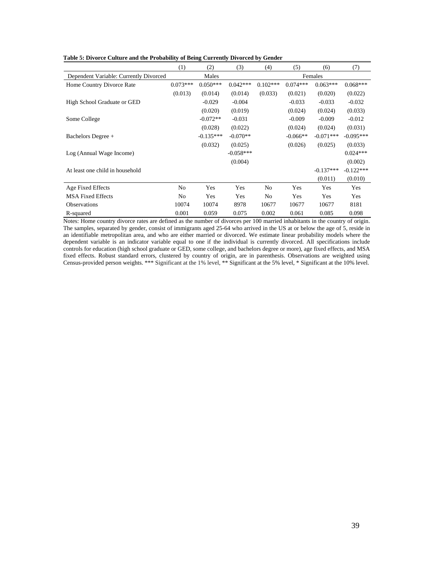|  |  |  | Table 5: Divorce Culture and the Probability of Being Currently Divorced by Gender |  |
|--|--|--|------------------------------------------------------------------------------------|--|
|  |  |  |                                                                                    |  |

|                                        | (1)            | (2)         | (3)         | (4)            | (5)        | (6)         | (7)         |  |
|----------------------------------------|----------------|-------------|-------------|----------------|------------|-------------|-------------|--|
| Dependent Variable: Currently Divorced |                | Males       |             |                |            | Females     |             |  |
| Home Country Divorce Rate              | $0.073***$     | $0.050***$  | $0.042***$  | $0.102***$     | $0.074***$ | $0.063***$  | $0.068***$  |  |
|                                        | (0.013)        | (0.014)     | (0.014)     | (0.033)        | (0.021)    | (0.020)     | (0.022)     |  |
| High School Graduate or GED            |                | $-0.029$    | $-0.004$    |                | $-0.033$   | $-0.033$    | $-0.032$    |  |
|                                        |                | (0.020)     | (0.019)     |                | (0.024)    | (0.024)     | (0.033)     |  |
| Some College                           |                | $-0.072**$  | $-0.031$    |                | $-0.009$   | $-0.009$    | $-0.012$    |  |
|                                        |                | (0.028)     | (0.022)     |                | (0.024)    | (0.024)     | (0.031)     |  |
| Bachelors Degree +                     |                | $-0.135***$ | $-0.070**$  |                | $-0.066**$ | $-0.071***$ | $-0.095***$ |  |
|                                        |                | (0.032)     | (0.025)     |                | (0.026)    | (0.025)     | (0.033)     |  |
| Log (Annual Wage Income)               |                |             | $-0.058***$ |                |            |             | $0.024***$  |  |
|                                        |                |             | (0.004)     |                |            |             | (0.002)     |  |
| At least one child in household        |                |             |             |                |            | $-0.137***$ | $-0.122***$ |  |
|                                        |                |             |             |                |            | (0.011)     | (0.010)     |  |
| Age Fixed Effects                      | No             | Yes         | Yes         | No             | Yes        | Yes         | Yes         |  |
| <b>MSA Fixed Effects</b>               | N <sub>0</sub> | Yes         | Yes         | N <sub>0</sub> | Yes        | Yes         | Yes         |  |
| <b>Observations</b>                    | 10074          | 10074       | 8978        | 10677          | 10677      | 10677       | 8181        |  |
| R-squared                              | 0.001          | 0.059       | 0.075       | 0.002          | 0.061      | 0.085       | 0.098       |  |

Notes: Home country divorce rates are defined as the number of divorces per 100 married inhabitants in the country of origin. The samples, separated by gender, consist of immigrants aged 25-64 who arrived in the US at or below the age of 5, reside in an identifiable metropolitan area, and who are either married or divorced. We estimate linear probability models where the dependent variable is an indicator variable equal to one if the individual is currently divorced. All specifications include controls for education (high school graduate or GED, some college, and bachelors degree or more), age fixed effects, and MSA fixed effects. Robust standard errors, clustered by country of origin, are in parenthesis. Observations are weighted using Census-provided person weights. \*\*\* Significant at the 1% level, \*\* Significant at the 5% level, \* Significant at the 10% level.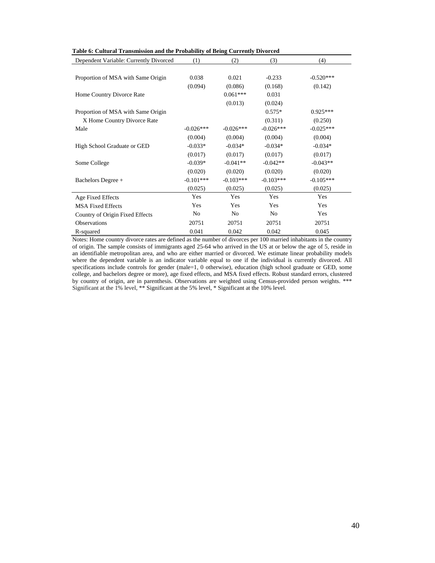| Table 6: Cultural Transmission and the Probability of Being Currently Divorced |  |
|--------------------------------------------------------------------------------|--|
|--------------------------------------------------------------------------------|--|

| Dependent Variable: Currently Divorced | (1)         | (2)         | (3)            | (4)         |
|----------------------------------------|-------------|-------------|----------------|-------------|
|                                        |             |             |                |             |
| Proportion of MSA with Same Origin     | 0.038       | 0.021       | $-0.233$       | $-0.520***$ |
|                                        | (0.094)     | (0.086)     | (0.168)        | (0.142)     |
| Home Country Divorce Rate              |             | $0.061***$  | 0.031          |             |
|                                        |             | (0.013)     | (0.024)        |             |
| Proportion of MSA with Same Origin     |             |             | $0.575*$       | $0.925***$  |
| X Home Country Divorce Rate            |             |             | (0.311)        | (0.250)     |
| Male                                   | $-0.026***$ | $-0.026***$ | $-0.026***$    | $-0.025***$ |
|                                        | (0.004)     | (0.004)     | (0.004)        | (0.004)     |
| High School Graduate or GED            | $-0.033*$   | $-0.034*$   | $-0.034*$      | $-0.034*$   |
|                                        | (0.017)     | (0.017)     | (0.017)        | (0.017)     |
| Some College                           | $-0.039*$   | $-0.041**$  | $-0.042**$     | $-0.043**$  |
|                                        | (0.020)     | (0.020)     | (0.020)        | (0.020)     |
| Bachelors Degree +                     | $-0.101***$ | $-0.103***$ | $-0.103***$    | $-0.105***$ |
|                                        | (0.025)     | (0.025)     | (0.025)        | (0.025)     |
| Age Fixed Effects                      | Yes         | Yes         | Yes            | Yes         |
| <b>MSA Fixed Effects</b>               | Yes         | Yes         | Yes            | Yes         |
| Country of Origin Fixed Effects        | No          | No          | N <sub>o</sub> | Yes         |
| <b>Observations</b>                    | 20751       | 20751       | 20751          | 20751       |
| R-squared                              | 0.041       | 0.042       | 0.042          | 0.045       |

Notes: Home country divorce rates are defined as the number of divorces per 100 married inhabitants in the country of origin. The sample consists of immigrants aged 25-64 who arrived in the US at or below the age of 5, reside in an identifiable metropolitan area, and who are either married or divorced. We estimate linear probability models where the dependent variable is an indicator variable equal to one if the individual is currently divorced. All specifications include controls for gender (male=1, 0 otherwise), education (high school graduate or GED, some college, and bachelors degree or more), age fixed effects, and MSA fixed effects. Robust standard errors, clustered by country of origin, are in parenthesis. Observations are weighted using Census-provided person weights. \*\*\* Significant at the 1% level, \*\* Significant at the 5% level, \* Significant at the 10% level.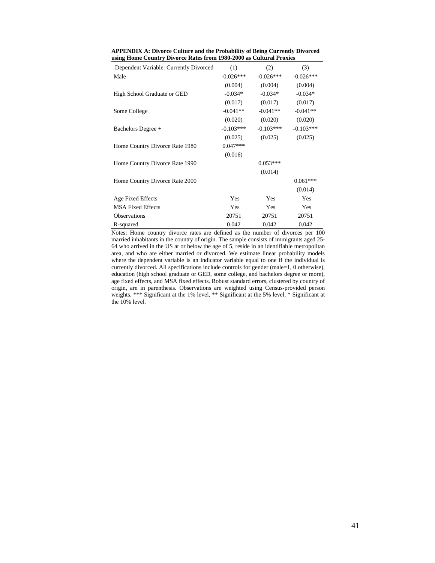| Dependent Variable: Currently Divorced | (1)         | (2)         | (3)         |
|----------------------------------------|-------------|-------------|-------------|
| Male                                   | $-0.026***$ | $-0.026***$ | $-0.026***$ |
|                                        | (0.004)     | (0.004)     | (0.004)     |
| High School Graduate or GED            | $-0.034*$   | $-0.034*$   | $-0.034*$   |
|                                        | (0.017)     | (0.017)     | (0.017)     |
| Some College                           | $-0.041**$  | $-0.041**$  | $-0.041**$  |
|                                        | (0.020)     | (0.020)     | (0.020)     |
| Bachelors Degree +                     | $-0.103***$ | $-0.103***$ | $-0.103***$ |
|                                        | (0.025)     | (0.025)     | (0.025)     |
| Home Country Divorce Rate 1980         | $0.047***$  |             |             |
|                                        | (0.016)     |             |             |
| Home Country Divorce Rate 1990         |             | $0.053***$  |             |
|                                        |             | (0.014)     |             |
| Home Country Divorce Rate 2000         |             |             | $0.061***$  |
|                                        |             |             | (0.014)     |
| Age Fixed Effects                      | Yes         | Yes         | <b>Yes</b>  |
| <b>MSA Fixed Effects</b>               | Yes         | Yes         | Yes         |
| <b>Observations</b>                    | 20751       | 20751       | 20751       |
| R-squared                              | 0.042       | 0.042       | 0.042       |

**APPENDIX A: Divorce Culture and the Probability of Being Currently Divorced using Home Country Divorce Rates from 1980-2000 as Cultural Proxies**

Notes: Home country divorce rates are defined as the number of divorces per 100 married inhabitants in the country of origin. The sample consists of immigrants aged 25- 64 who arrived in the US at or below the age of 5, reside in an identifiable metropolitan area, and who are either married or divorced. We estimate linear probability models where the dependent variable is an indicator variable equal to one if the individual is currently divorced. All specifications include controls for gender (male=1, 0 otherwise), education (high school graduate or GED, some college, and bachelors degree or more), age fixed effects, and MSA fixed effects. Robust standard errors, clustered by country of origin, are in parenthesis. Observations are weighted using Census-provided person weights. \*\*\* Significant at the 1% level, \*\* Significant at the 5% level, \* Significant at the 10% level.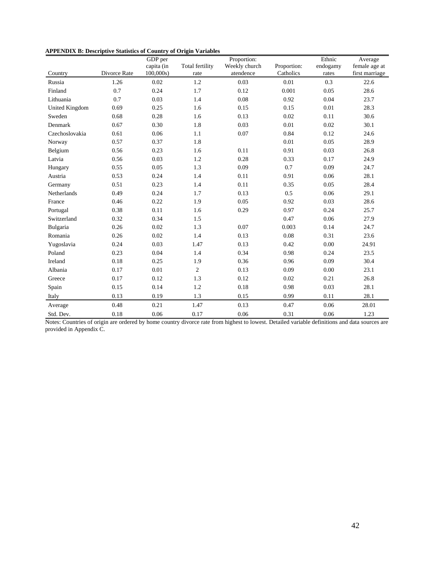| APPENDIX B: Descriptive Statistics of Country of Origin Variables |  |  |  |  |  |
|-------------------------------------------------------------------|--|--|--|--|--|
|-------------------------------------------------------------------|--|--|--|--|--|

|                       |              | GDP per    |                 | Proportion:   |             | Ethnic   | Average        |
|-----------------------|--------------|------------|-----------------|---------------|-------------|----------|----------------|
|                       |              | capita (in | Total fertility | Weekly church | Proportion: | endogamy | female age at  |
| Country               | Divorce Rate | 100,000s   | rate            | atendence     | Catholics   | rates    | first marriage |
| Russia                | 1.26         | 0.02       | 1.2             | 0.03          | 0.01        | 0.3      | 22.6           |
| Finland               | 0.7          | 0.24       | 1.7             | 0.12          | 0.001       | 0.05     | 28.6           |
| Lithuania             | 0.7          | 0.03       | 1.4             | 0.08          | 0.92        | 0.04     | 23.7           |
| <b>United Kingdom</b> | 0.69         | 0.25       | 1.6             | 0.15          | 0.15        | 0.01     | 28.3           |
| Sweden                | 0.68         | 0.28       | 1.6             | 0.13          | 0.02        | 0.11     | 30.6           |
| Denmark               | 0.67         | 0.30       | 1.8             | 0.03          | 0.01        | 0.02     | 30.1           |
| Czechoslovakia        | 0.61         | 0.06       | 1.1             | 0.07          | 0.84        | 0.12     | 24.6           |
| Norway                | 0.57         | 0.37       | 1.8             |               | 0.01        | 0.05     | 28.9           |
| Belgium               | 0.56         | 0.23       | 1.6             | 0.11          | 0.91        | 0.03     | 26.8           |
| Latvia                | 0.56         | 0.03       | 1.2             | 0.28          | 0.33        | 0.17     | 24.9           |
| Hungary               | 0.55         | 0.05       | 1.3             | 0.09          | 0.7         | 0.09     | 24.7           |
| Austria               | 0.53         | 0.24       | 1.4             | 0.11          | 0.91        | 0.06     | 28.1           |
| Germany               | 0.51         | 0.23       | 1.4             | 0.11          | 0.35        | 0.05     | 28.4           |
| Netherlands           | 0.49         | 0.24       | 1.7             | 0.13          | 0.5         | 0.06     | 29.1           |
| France                | 0.46         | 0.22       | 1.9             | 0.05          | 0.92        | 0.03     | 28.6           |
| Portugal              | 0.38         | 0.11       | 1.6             | 0.29          | 0.97        | 0.24     | 25.7           |
| Switzerland           | 0.32         | 0.34       | 1.5             |               | 0.47        | 0.06     | 27.9           |
| Bulgaria              | 0.26         | 0.02       | 1.3             | 0.07          | 0.003       | 0.14     | 24.7           |
| Romania               | 0.26         | 0.02       | 1.4             | 0.13          | 0.08        | 0.31     | 23.6           |
| Yugoslavia            | 0.24         | 0.03       | 1.47            | 0.13          | 0.42        | 0.00     | 24.91          |
| Poland                | 0.23         | 0.04       | 1.4             | 0.34          | 0.98        | 0.24     | 23.5           |
| Ireland               | 0.18         | 0.25       | 1.9             | 0.36          | 0.96        | 0.09     | 30.4           |
| Albania               | 0.17         | 0.01       | $\overline{2}$  | 0.13          | 0.09        | 0.00     | 23.1           |
| Greece                | 0.17         | 0.12       | 1.3             | 0.12          | 0.02        | 0.21     | 26.8           |
| Spain                 | 0.15         | 0.14       | 1.2             | 0.18          | 0.98        | 0.03     | 28.1           |
| Italy                 | 0.13         | 0.19       | 1.3             | 0.15          | 0.99        | 0.11     | 28.1           |
| Average               | 0.48         | 0.21       | 1.47            | 0.13          | 0.47        | 0.06     | 28.01          |
| Std. Dev.             | 0.18         | 0.06       | 0.17            | 0.06          | 0.31        | 0.06     | 1.23           |

Notes: Countries of origin are ordered by home country divorce rate from highest to lowest. Detailed variable definitions and data sources are provided in Appendix C.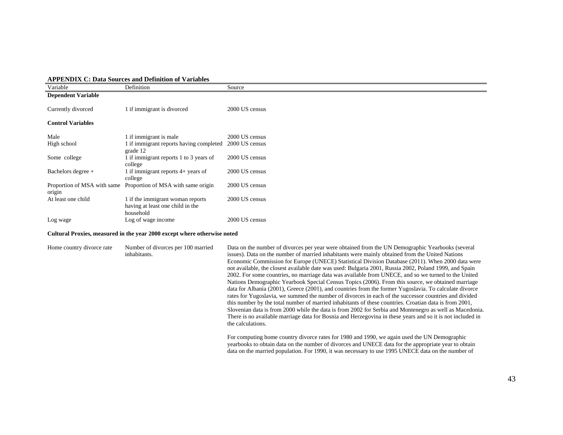|  |  |  | <b>APPENDIX C: Data Sources and Definition of Variables</b> |  |  |
|--|--|--|-------------------------------------------------------------|--|--|
|--|--|--|-------------------------------------------------------------|--|--|

| Variable                    | Definition                              | Source         |  |
|-----------------------------|-----------------------------------------|----------------|--|
| <b>Dependent Variable</b>   |                                         |                |  |
|                             |                                         |                |  |
| Currently divorced          | 1 if immigrant is divorced              | 2000 US census |  |
|                             |                                         |                |  |
| <b>Control Variables</b>    |                                         |                |  |
|                             |                                         |                |  |
| Male                        | l if immigrant is male                  | 2000 US census |  |
| High school                 | 1 if immigrant reports having completed | 2000 US census |  |
|                             | grade 12                                |                |  |
|                             |                                         |                |  |
| Some college                | 1 if immigrant reports 1 to 3 years of  | 2000 US census |  |
|                             | college                                 |                |  |
| Bachelors degree +          | 1 if immigrant reports 4+ years of      | 2000 US census |  |
|                             | college                                 |                |  |
| Proportion of MSA with same | Proportion of MSA with same origin      | 2000 US census |  |
| origin                      |                                         |                |  |
| At least one child          | 1 if the immigrant woman reports        | 2000 US census |  |
|                             | having at least one child in the        |                |  |
|                             | household                               |                |  |
|                             |                                         | 2000 US census |  |
| Log wage                    | Log of wage income                      |                |  |

#### **Cultural Proxies, measured in the year 2000 except where otherwise noted**

| Home country divorce rate | Number of divorces per 100 married<br>inhabitants. | Data on the number of divorces per year were obtained from the UN Demographic Yearbooks (several<br>issues). Data on the number of married inhabitants were mainly obtained from the United Nations<br>Economic Commission for Europe (UNECE) Statistical Division Database (2011). When 2000 data were<br>not available, the closest available date was used: Bulgaria 2001, Russia 2002, Poland 1999, and Spain<br>2002. For some countries, no marriage data was available from UNECE, and so we turned to the United<br>Nations Demographic Yearbook Special Census Topics (2006). From this source, we obtained marriage<br>data for Albania (2001), Greece (2001), and countries from the former Yugoslavia. To calculate divorce<br>rates for Yugoslavia, we summed the number of divorces in each of the successor countries and divided<br>this number by the total number of married inhabitants of these countries. Croatian data is from 2001,<br>Slovenian data is from 2000 while the data is from 2002 for Serbia and Montenegro as well as Macedonia.<br>There is no available marriage data for Bosnia and Herzegovina in these years and so it is not included in<br>the calculations. |
|---------------------------|----------------------------------------------------|----------------------------------------------------------------------------------------------------------------------------------------------------------------------------------------------------------------------------------------------------------------------------------------------------------------------------------------------------------------------------------------------------------------------------------------------------------------------------------------------------------------------------------------------------------------------------------------------------------------------------------------------------------------------------------------------------------------------------------------------------------------------------------------------------------------------------------------------------------------------------------------------------------------------------------------------------------------------------------------------------------------------------------------------------------------------------------------------------------------------------------------------------------------------------------------------------------|
|                           |                                                    | For computing home country divorce rates for 1980 and 1990, we again used the UN Demographic<br>yearbooks to obtain data on the number of divorces and UNECE data for the appropriate year to obtain<br>data on the married population. For 1990, it was necessary to use 1995 UNECE data on the number of                                                                                                                                                                                                                                                                                                                                                                                                                                                                                                                                                                                                                                                                                                                                                                                                                                                                                               |